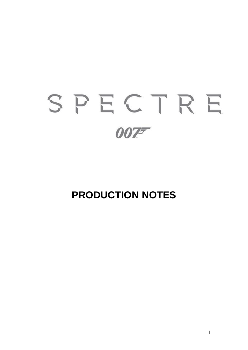# SPECTRE 007

# **PRODUCTION NOTES**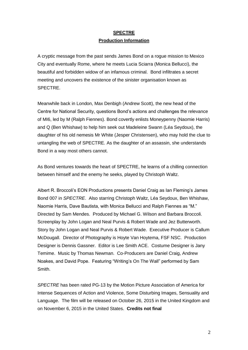# **SPECTRE Production Information**

A cryptic message from the past sends James Bond on a rogue mission to Mexico City and eventually Rome, where he meets Lucia Sciarra (Monica Bellucci), the beautiful and forbidden widow of an infamous criminal. Bond infiltrates a secret meeting and uncovers the existence of the sinister organisation known as SPECTRE.

Meanwhile back in London, Max Denbigh (Andrew Scott), the new head of the Centre for National Security, questions Bond's actions and challenges the relevance of MI6, led by M (Ralph Fiennes). Bond covertly enlists Moneypenny (Naomie Harris) and Q (Ben Whishaw) to help him seek out Madeleine Swann (Léa Seydoux), the daughter of his old nemesis Mr White (Jesper Christensen), who may hold the clue to untangling the web of SPECTRE. As the daughter of an assassin, she understands Bond in a way most others cannot.

As Bond ventures towards the heart of SPECTRE, he learns of a chilling connection between himself and the enemy he seeks, played by Christoph Waltz.

Albert R. Broccoli's EON Productions presents Daniel Craig as Ian Fleming's James Bond 007 in *SPECTRE*. Also starring Christoph Waltz, Léa Seydoux, Ben Whishaw, Naomie Harris, Dave Bautista, with Monica Bellucci and Ralph Fiennes as "M." Directed by Sam Mendes. Produced by Michael G. Wilson and Barbara Broccoli. Screenplay by John Logan and Neal Purvis & Robert Wade and Jez Butterworth. Story by John Logan and Neal Purvis & Robert Wade. Executive Producer is Callum McDougall. Director of Photography is Hoyte Van Hoytema, FSF NSC. Production Designer is Dennis Gassner. Editor is Lee Smith ACE. Costume Designer is Jany Temime. Music by Thomas Newman. Co-Producers are Daniel Craig, Andrew Noakes, and David Pope. Featuring "Writing's On The Wall" performed by Sam Smith.

*SPECTRE* has been rated PG-13 by the Motion Picture Association of America for Intense Sequences of Action and Violence, Some Disturbing Images, Sensuality and Language. The film will be released on October 26, 2015 in the United Kingdom and on November 6, 2015 in the United States. **Credits not final**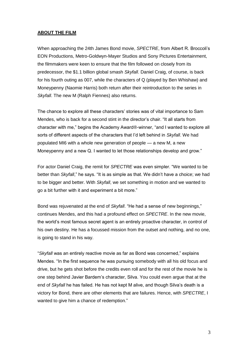#### **ABOUT THE FILM**

When approaching the 24th James Bond movie, *SPECTRE*, from Albert R. Broccoli's EON Productions, Metro-Goldwyn-Mayer Studios and Sony Pictures Entertainment, the filmmakers were keen to ensure that the film followed on closely from its predecessor, the \$1.1 billion global smash *Skyfall*. Daniel Craig, of course, is back for his fourth outing as 007, while the characters of Q (played by Ben Whishaw) and Moneypenny (Naomie Harris) both return after their reintroduction to the series in *Skyfall*. The new M (Ralph Fiennes) also returns.

The chance to explore all these characters' stories was of vital importance to Sam Mendes, who is back for a second stint in the director's chair. "It all starts from character with me," begins the Academy Award®-winner, "and I wanted to explore all sorts of different aspects of the characters that I'd left behind in *Skyfall*. We had populated MI6 with a whole new generation of people — a new M, a new Moneypenny and a new Q. I wanted to let those relationships develop and grow."

For actor Daniel Craig, the remit for *SPECTRE* was even simpler. "We wanted to be better than *Skyfall*," he says. "It is as simple as that. We didn't have a choice; we had to be bigger and better. With *Skyfall*, we set something in motion and we wanted to go a bit further with it and experiment a bit more."

Bond was rejuvenated at the end of *Skyfall*. "He had a sense of new beginnings," continues Mendes, and this had a profound effect on *SPECTRE*. In the new movie, the world's most famous secret agent is an entirely proactive character, in control of his own destiny. He has a focussed mission from the outset and nothing, and no one, is going to stand in his way.

"*Skyfall* was an entirely reactive movie as far as Bond was concerned," explains Mendes. "In the first sequence he was pursuing somebody with all his old focus and drive, but he gets shot before the credits even roll and for the rest of the movie he is one step behind Javier Bardem's character, Silva. You could even argue that at the end of *Skyfall* he has failed. He has not kept M alive, and though Silva's death is a victory for Bond, there are other elements that are failures. Hence, with *SPECTRE*, I wanted to give him a chance of redemption."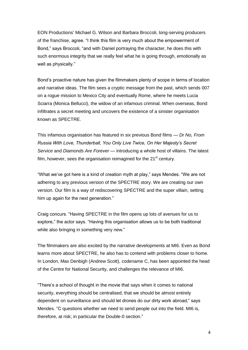EON Productions' Michael G. Wilson and Barbara Broccoli, long-serving producers of the franchise, agree. "I think this film is very much about the empowerment of Bond," says Broccoli, "and with Daniel portraying the character, he does this with such enormous integrity that we really feel what he is going through, emotionally as well as physically."

Bond's proactive nature has given the filmmakers plenty of scope in terms of location and narrative ideas. The film sees a cryptic message from the past, which sends 007 on a rogue mission to Mexico City and eventually Rome, where he meets Lucia Sciarra (Monica Bellucci), the widow of an infamous criminal. When overseas, Bond infiltrates a secret meeting and uncovers the existence of a sinister organisation known as SPECTRE.

This infamous organisation has featured in six previous Bond films — *Dr No, From Russia With Love, Thunderball, You Only Live Twice, On Her Majesty's Secret Service* and *Diamonds Are Forever* — introducing a whole host of villains. The latest film, however, sees the organisation reimagined for the  $21<sup>st</sup>$  century.

"What we've got here is a kind of creation myth at play," says Mendes. "We are not adhering to any previous version of the SPECTRE story. We are creating our own version. Our film is a way of rediscovering SPECTRE and the super villain, setting him up again for the next generation."

Craig concurs. "Having SPECTRE in the film opens up lots of avenues for us to explore," the actor says. "Having this organisation allows us to be both traditional while also bringing in something very new."

The filmmakers are also excited by the narrative developments at MI6. Even as Bond learns more about SPECTRE, he also has to contend with problems closer to home. In London, Max Denbigh (Andrew Scott), codename C, has been appointed the head of the Centre for National Security, and challenges the relevance of MI6.

"There's a school of thought in the movie that says when it comes to national security, everything should be centralised, that we should be almost entirely dependent on surveillance and should let drones do our dirty work abroad," says Mendes. "C questions whether we need to send people out into the field. MI6 is, therefore, at risk; in particular the Double-0 section."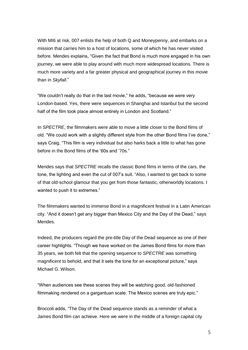With MI6 at risk, 007 enlists the help of both Q and Moneypenny, and embarks on a mission that carries him to a host of locations, some of which he has never visited before. Mendes explains, "Given the fact that Bond is much more engaged in his own journey, we were able to play around with much more widespread locations. There is much more variety and a far greater physical and geographical journey in this movie than in *Skyfall*."

"We couldn't really do that in the last movie," he adds, "because we were very London-based. Yes, there were sequences in Shanghai and Istanbul but the second half of the film took place almost entirely in London and Scotland."

In *SPECTRE*, the filmmakers were able to move a little closer to the Bond films of old. "We could work with a slightly different style from the other Bond films I've done," says Craig. "This film is very individual but also harks back a little to what has gone before in the Bond films of the '60s and '70s."

Mendes says that *SPECTRE* recalls the classic Bond films in terms of the cars, the tone, the lighting and even the cut of 007's suit. "Also, I wanted to get back to some of that old-school glamour that you get from those fantastic, otherworldly locations. I wanted to push it to extremes."

The filmmakers wanted to immerse Bond in a magnificent festival in a Latin American city. "And it doesn't get any bigger than Mexico City and the Day of the Dead," says Mendes.

Indeed, the producers regard the pre-title Day of the Dead sequence as one of their career highlights. "Though we have worked on the James Bond films for more than 35 years, we both felt that the opening sequence to *SPECTRE* was something magnificent to behold, and that it sets the tone for an exceptional picture," says Michael G. Wilson.

"When audiences see these scenes they will be watching good, old-fashioned filmmaking rendered on a gargantuan scale. The Mexico scenes are truly epic."

Broccoli adds, "The Day of the Dead sequence stands as a reminder of what a James Bond film can achieve. Here we were in the middle of a foreign capital city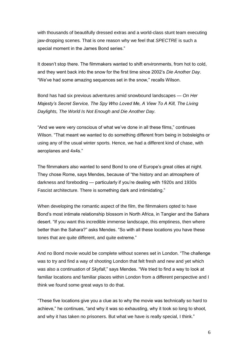with thousands of beautifully dressed extras and a world-class stunt team executing jaw-dropping scenes. That is one reason why we feel that *SPECTRE* is such a special moment in the James Bond series."

It doesn't stop there. The filmmakers wanted to shift environments, from hot to cold, and they went back into the snow for the first time since 2002's *Die Another Day*. "We've had some amazing sequences set in the snow," recalls Wilson.

Bond has had six previous adventures amid snowbound landscapes — *On Her Majesty's Secret Service, The Spy Who Loved Me, A View To A Kill, The Living Daylights, The World Is Not Enough and Die Another Day*.

"And we were very conscious of what we've done in all these films," continues Wilson. "That meant we wanted to do something different from being in bobsleighs or using any of the usual winter sports. Hence, we had a different kind of chase, with aeroplanes and 4x4s."

The filmmakers also wanted to send Bond to one of Europe's great cities at night. They chose Rome, says Mendes, because of "the history and an atmosphere of darkness and foreboding — particularly if you're dealing with 1920s and 1930s Fascist architecture. There is something dark and intimidating."

When developing the romantic aspect of the film, the filmmakers opted to have Bond's most intimate relationship blossom in North Africa, in Tangier and the Sahara desert. "If you want this incredible immense landscape, this emptiness, then where better than the Sahara?" asks Mendes. "So with all these locations you have these tones that are quite different, and quite extreme."

And no Bond movie would be complete without scenes set in London. "The challenge was to try and find a way of shooting London that felt fresh and new and yet which was also a continuation of *Skyfall*," says Mendes. "We tried to find a way to look at familiar locations and familiar places within London from a different perspective and I think we found some great ways to do that.

"These five locations give you a clue as to why the movie was technically so hard to achieve," he continues, "and why it was so exhausting, why it took so long to shoot, and why it has taken no prisoners. But what we have is really special, I think."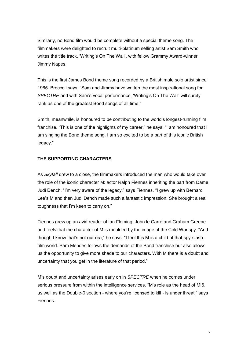Similarly, no Bond film would be complete without a special theme song. The filmmakers were delighted to recruit multi-platinum selling artist Sam Smith who writes the title track, 'Writing's On The Wall', with fellow Grammy Award-winner Jimmy Napes.

This is the first James Bond theme song recorded by a British male solo artist since 1965. Broccoli says, "Sam and Jimmy have written the most inspirational song for *SPECTRE* and with Sam's vocal performance, 'Writing's On The Wall' will surely rank as one of the greatest Bond songs of all time."

Smith, meanwhile, is honoured to be contributing to the world's longest-running film franchise. "This is one of the highlights of my career," he says. "I am honoured that I am singing the Bond theme song. I am so excited to be a part of this iconic British legacy."

#### **THE SUPPORTING CHARACTERS**

As *Skyfall* drew to a close, the filmmakers introduced the man who would take over the role of the iconic character M: actor Ralph Fiennes inheriting the part from Dame Judi Dench. "I'm very aware of the legacy," says Fiennes. "I grew up with Bernard Lee's M and then Judi Dench made such a fantastic impression. She brought a real toughness that I'm keen to carry on."

Fiennes grew up an avid reader of Ian Fleming, John le Carré and Graham Greene and feels that the character of M is moulded by the image of the Cold War spy. "And though I know that's not our era," he says, "I feel this M is a child of that spy-slashfilm world. Sam Mendes follows the demands of the Bond franchise but also allows us the opportunity to give more shade to our characters. With M there is a doubt and uncertainty that you get in the literature of that period."

M's doubt and uncertainty arises early on in *SPECTRE* when he comes under serious pressure from within the intelligence services. "M's role as the head of MI6, as well as the Double-0 section - where you're licensed to kill - is under threat," says Fiennes.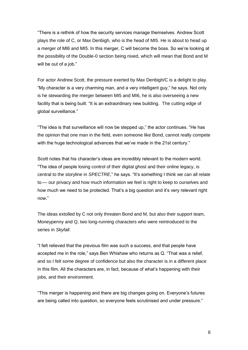"There is a rethink of how the security services manage themselves. Andrew Scott plays the role of C, or Max Denbigh, who is the head of MI5. He is about to head up a merger of MI6 and MI5. In this merger, C will become the boss. So we're looking at the possibility of the Double-0 section being nixed, which will mean that Bond and M will be out of a job."

For actor Andrew Scott, the pressure exerted by Max Denbigh/C is a delight to play. "My character is a very charming man, and a very intelligent guy," he says. Not only is he stewarding the merger between MI5 and MI6, he is also overseeing a new facility that is being built. "It is an extraordinary new building. The cutting edge of global surveillance."

"The idea is that surveillance will now be stepped up," the actor continues. "He has the opinion that one man in the field, even someone like Bond, cannot really compete with the huge technological advances that we've made in the 21st century."

Scott notes that his character's ideas are incredibly relevant to the modern world. "The idea of people losing control of their digital ghost and their online legacy, is central to the storyline in *SPECTRE*," he says. "It's something I think we can all relate to — our privacy and how much information we feel is right to keep to ourselves and how much we need to be protected. That's a big question and it's very relevant right now."

The ideas extolled by C not only threaten Bond and M, but also their support team, Moneypenny and Q, two long-running characters who were reintroduced to the series in *Skyfall*.

"I felt relieved that the previous film was such a success, and that people have accepted me in the role," says Ben Whishaw who returns as Q. "That was a relief, and so I felt some degree of confidence but also the character is in a different place in this film. All the characters are, in fact, because of what's happening with their jobs, and their environment.

"This merger is happening and there are big changes going on. Everyone's futures are being called into question, so everyone feels scrutinised and under pressure."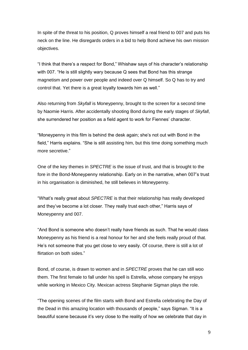In spite of the threat to his position, Q proves himself a real friend to 007 and puts his neck on the line. He disregards orders in a bid to help Bond achieve his own mission objectives.

"I think that there's a respect for Bond," Whishaw says of his character's relationship with 007. "He is still slightly wary because Q sees that Bond has this strange magnetism and power over people and indeed over Q himself. So Q has to try and control that. Yet there is a great loyalty towards him as well."

Also returning from *Skyfall* is Moneypenny, brought to the screen for a second time by Naomie Harris. After accidentally shooting Bond during the early stages of *Skyfall*, she surrendered her position as a field agent to work for Fiennes' character.

"Moneypenny in this film is behind the desk again; she's not out with Bond in the field," Harris explains. "She is still assisting him, but this time doing something much more secretive."

One of the key themes in *SPECTRE* is the issue of trust, and that is brought to the fore in the Bond-Moneypenny relationship. Early on in the narrative, when 007's trust in his organisation is diminished, he still believes in Moneypenny.

"What's really great about *SPECTRE* is that their relationship has really developed and they've become a lot closer. They really trust each other," Harris says of Moneypenny and 007.

"And Bond is someone who doesn't really have friends as such. That he would class Moneypenny as his friend is a real honour for her and she feels really proud of that. He's not someone that you get close to very easily. Of course, there is still a lot of flirtation on both sides."

Bond, of course, is drawn to women and in *SPECTRE* proves that he can still woo them. The first female to fall under his spell is Estrella, whose company he enjoys while working in Mexico City. Mexican actress Stephanie Sigman plays the role.

"The opening scenes of the film starts with Bond and Estrella celebrating the Day of the Dead in this amazing location with thousands of people," says Sigman. "It is a beautiful scene because it's very close to the reality of how we celebrate that day in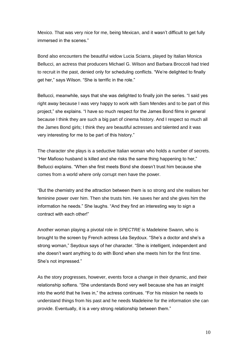Mexico. That was very nice for me, being Mexican, and it wasn't difficult to get fully immersed in the scenes."

Bond also encounters the beautiful widow Lucia Sciarra, played by Italian Monica Bellucci, an actress that producers Michael G. Wilson and Barbara Broccoli had tried to recruit in the past, denied only for scheduling conflicts. "We're delighted to finally get her," says Wilson. "She is terrific in the role."

Bellucci, meanwhile, says that she was delighted to finally join the series. "I said yes right away because I was very happy to work with Sam Mendes and to be part of this project," she explains. "I have so much respect for the James Bond films in general because I think they are such a big part of cinema history. And I respect so much all the James Bond girls; I think they are beautiful actresses and talented and it was very interesting for me to be part of this history."

The character she plays is a seductive Italian woman who holds a number of secrets. "Her Mafioso husband is killed and she risks the same thing happening to her," Bellucci explains. "When she first meets Bond she doesn't trust him because she comes from a world where only corrupt men have the power.

"But the chemistry and the attraction between them is so strong and she realises her feminine power over him. Then she trusts him. He saves her and she gives him the information he needs." She laughs. "And they find an interesting way to sign a contract with each other!"

Another woman playing a pivotal role in *SPECTRE* is Madeleine Swann, who is brought to the screen by French actress Léa Seydoux. "She's a doctor and she's a strong woman," Seydoux says of her character. "She is intelligent, independent and she doesn't want anything to do with Bond when she meets him for the first time. She's not impressed."

As the story progresses, however, events force a change in their dynamic, and their relationship softens. "She understands Bond very well because she has an insight into the world that he lives in," the actress continues. "For his mission he needs to understand things from his past and he needs Madeleine for the information she can provide. Eventually, it is a very strong relationship between them."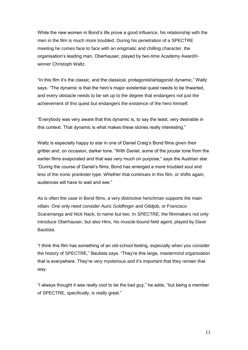While the new women in Bond's life prove a good influence, his relationship with the men in the film is much more troubled. During his penetration of a SPECTRE meeting he comes face to face with an enigmatic and chilling character, the organisation's leading man, Oberhauser, played by two-time Academy Award® winner Christoph Waltz.

"In this film it's the classic, and the classical, protagonist/antagonist dynamic," Waltz says. "The dynamic is that the hero's major existential quest needs to be thwarted, and every obstacle needs to be set up to the degree that endangers not just the achievement of this quest but endangers the existence of the hero himself.

"Everybody was very aware that this dynamic is, to say the least, very desirable in this context. That dynamic is what makes these stories really interesting."

Waltz is especially happy to star in one of Daniel Craig's Bond films given their grittier and, on occasion, darker tone. "With Daniel, some of the jocular tone from the earlier films evaporated and that was very much on purpose," says the Austrian star. "During the course of Daniel's films, Bond has emerged a more troubled soul and less of the ironic prankster type. Whether that continues in this film, or shifts again, audiences will have to wait and see."

As is often the case in Bond films, a very distinctive henchman supports the main villain. One only need consider Auric Goldfinger and Oddjob, or Francisco Scaramanga and Nick Nack, to name but two. In *SPECTRE*, the filmmakers not only introduce Oberhauser, but also Hinx, his muscle-bound field agent, played by Dave Bautista.

"I think this film has something of an old-school feeling, especially when you consider the history of SPECTRE," Bautista says. "They're this large, mastermind organisation that is everywhere. They're very mysterious and it's important that they remain that way.

"I always thought it was really cool to be the bad guy," he adds, "but being a member of SPECTRE, specifically, is really great."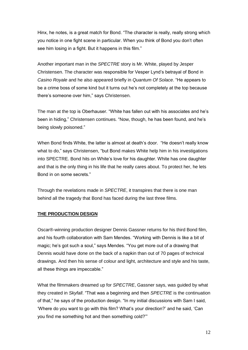Hinx, he notes, is a great match for Bond. "The character is really, really strong which you notice in one fight scene in particular. When you think of Bond you don't often see him losing in a fight. But it happens in this film."

Another important man in the *SPECTRE* story is Mr. White, played by Jesper Christensen. The character was responsible for Vesper Lynd's betrayal of Bond in *Casino Royale* and he also appeared briefly in *Quantum Of Solace*. "He appears to be a crime boss of some kind but it turns out he's not completely at the top because there's someone over him," says Christensen.

The man at the top is Oberhauser. "White has fallen out with his associates and he's been in hiding," Christensen continues. "Now, though, he has been found, and he's being slowly poisoned."

When Bond finds White, the latter is almost at death's door. "He doesn't really know what to do," says Christensen, "but Bond makes White help him in his investigations into SPECTRE. Bond hits on White's love for his daughter. White has one daughter and that is the only thing in his life that he really cares about. To protect her, he lets Bond in on some secrets."

Through the revelations made in *SPECTRE*, it transpires that there is one man behind all the tragedy that Bond has faced during the last three films.

#### **THE PRODUCTION DESIGN**

Oscar®-winning production designer Dennis Gassner returns for his third Bond film, and his fourth collaboration with Sam Mendes. "Working with Dennis is like a bit of magic; he's got such a soul," says Mendes. "You get more out of a drawing that Dennis would have done on the back of a napkin than out of 70 pages of technical drawings. And then his sense of colour and light, architecture and style and his taste, all these things are impeccable."

What the filmmakers dreamed up for *SPECTRE*, Gassner says, was guided by what they created in *Skyfall*. "That was a beginning and then *SPECTRE* is the continuation of that," he says of the production design. "In my initial discussions with Sam I said, 'Where do you want to go with this film? What's your direction?' and he said, 'Can you find me something hot and then something cold?'"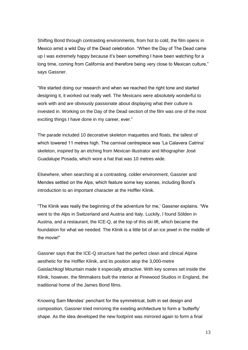Shifting Bond through contrasting environments, from hot to cold, the film opens in Mexico amid a wild Day of the Dead celebration. "When the Day of The Dead came up I was extremely happy because it's been something I have been watching for a long time, coming from California and therefore being very close to Mexican culture," says Gassner.

"We started doing our research and when we reached the right tone and started designing it, it worked out really well. The Mexicans were absolutely wonderful to work with and are obviously passionate about displaying what their culture is invested in. Working on the Day of the Dead section of the film was one of the most exciting things I have done in my career, ever."

The parade included 10 decorative skeleton maquettes and floats, the tallest of which towered 11 metres high. The carnival centrepiece was 'La Calavera Catrina' skeleton, inspired by an etching from Mexican illustrator and lithographer José Guadalupe Posada, which wore a hat that was 10 metres wide.

Elsewhere, when searching at a contrasting, colder environment, Gassner and Mendes settled on the Alps, which feature some key scenes, including Bond's introduction to an important character at the Hoffler Klinik.

"The Klinik was really the beginning of the adventure for me,' Gassner explains. "We went to the Alps in Switzerland and Austria and Italy. Luckily, I found Sölden in Austria, and a restaurant, the ICE-Q, at the top of this ski lift, which became the foundation for what we needed. The Klinik is a little bit of an ice jewel in the middle of the movie!"

Gassner says that the ICE-Q structure had the perfect clean and clinical Alpine aesthetic for the Hoffler Klinik, and its position atop the 3,000-metre Gaislachkogl Mountain made it especially attractive. With key scenes set inside the Klinik, however, the filmmakers built the interior at Pinewood Studios in England, the traditional home of the James Bond films.

Knowing Sam Mendes' penchant for the symmetrical, both in set design and composition, Gassner tried mirroring the existing architecture to form a 'butterfly' shape. As the idea developed the new footprint was mirrored again to form a final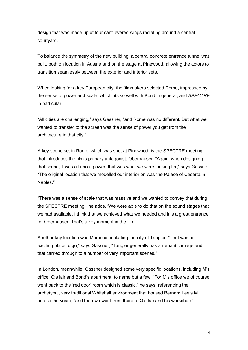design that was made up of four cantilevered wings radiating around a central courtyard.

To balance the symmetry of the new building, a central concrete entrance tunnel was built, both on location in Austria and on the stage at Pinewood, allowing the actors to transition seamlessly between the exterior and interior sets.

When looking for a key European city, the filmmakers selected Rome, impressed by the sense of power and scale, which fits so well with Bond in general, and *SPECTRE* in particular.

"All cities are challenging," says Gassner, "and Rome was no different. But what we wanted to transfer to the screen was the sense of power you get from the architecture in that city."

A key scene set in Rome, which was shot at Pinewood, is the SPECTRE meeting that introduces the film's primary antagonist, Oberhauser. "Again, when designing that scene, it was all about power; that was what we were looking for," says Gassner. "The original location that we modelled our interior on was the Palace of Caserta in Naples."

"There was a sense of scale that was massive and we wanted to convey that during the SPECTRE meeting," he adds. "We were able to do that on the sound stages that we had available. I think that we achieved what we needed and it is a great entrance for Oberhauser. That's a key moment in the film."

Another key location was Morocco, including the city of Tangier. "That was an exciting place to go," says Gassner, "Tangier generally has a romantic image and that carried through to a number of very important scenes."

In London, meanwhile, Gassner designed some very specific locations, including M's office, Q's lair and Bond's apartment, to name but a few. "For M's office we of course went back to the 'red door' room which is classic," he says, referencing the archetypal, very traditional Whitehall environment that housed Bernard Lee's M across the years, "and then we went from there to Q's lab and his workshop."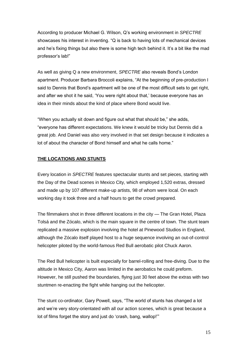According to producer Michael G. Wilson, Q's working environment in *SPECTRE* showcases his interest in inventing. "Q is back to having lots of mechanical devices and he's fixing things but also there is some high tech behind it. It's a bit like the mad professor's lab!"

As well as giving Q a new environment, *SPECTRE* also reveals Bond's London apartment. Producer Barbara Broccoli explains, "At the beginning of pre-production I said to Dennis that Bond's apartment will be one of the most difficult sets to get right, and after we shot it he said, 'You were right about that,' because everyone has an idea in their minds about the kind of place where Bond would live.

"When you actually sit down and figure out what that should be," she adds, "everyone has different expectations. We knew it would be tricky but Dennis did a great job. And Daniel was also very involved in that set design because it indicates a lot of about the character of Bond himself and what he calls home."

#### **THE LOCATIONS AND STUNTS**

Every location in *SPECTRE* features spectacular stunts and set pieces, starting with the Day of the Dead scenes in Mexico City, which employed 1,520 extras, dressed and made up by 107 different make-up artists, 98 of whom were local. On each working day it took three and a half hours to get the crowd prepared.

The filmmakers shot in three different locations in the city — The Gran Hotel, Plaza Tolsá and the Zócalo, which is the main square in the centre of town. The stunt team replicated a massive explosion involving the hotel at Pinewood Studios in England, although the Zócalo itself played host to a huge sequence involving an out-of-control helicopter piloted by the world-famous Red Bull aerobatic pilot Chuck Aaron.

The Red Bull helicopter is built especially for barrel-rolling and free-diving. Due to the altitude in Mexico City, Aaron was limited in the aerobatics he could preform. However, he still pushed the boundaries, flying just 30 feet above the extras with two stuntmen re-enacting the fight while hanging out the helicopter.

The stunt co-ordinator, Gary Powell, says, "The world of stunts has changed a lot and we're very story-orientated with all our action scenes, which is great because a lot of films forget the story and just do 'crash, bang, wallop!'"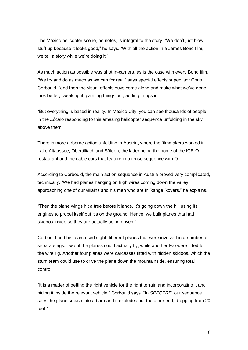The Mexico helicopter scene, he notes, is integral to the story. "We don't just blow stuff up because it looks good," he says. "With all the action in a James Bond film, we tell a story while we're doing it."

As much action as possible was shot in-camera, as is the case with every Bond film. "We try and do as much as we can for real," says special effects supervisor Chris Corbould, "and then the visual effects guys come along and make what we've done look better, tweaking it, painting things out, adding things in.

"But everything is based in reality. In Mexico City, you can see thousands of people in the Zócalo responding to this amazing helicopter sequence unfolding in the sky above them."

There is more airborne action unfolding in Austria, where the filmmakers worked in Lake Altaussee, Obertilliach and Sölden, the latter being the home of the ICE-Q restaurant and the cable cars that feature in a tense sequence with Q.

According to Corbould, the main action sequence in Austria proved very complicated, technically. "We had planes hanging on high wires coming down the valley approaching one of our villains and his men who are in Range Rovers," he explains.

"Then the plane wings hit a tree before it lands. It's going down the hill using its engines to propel itself but it's on the ground. Hence, we built planes that had skidoos inside so they are actually being driven."

Corbould and his team used eight different planes that were involved in a number of separate rigs. Two of the planes could actually fly, while another two were fitted to the wire rig. Another four planes were carcasses fitted with hidden skidoos, which the stunt team could use to drive the plane down the mountainside, ensuring total control.

"It is a matter of getting the right vehicle for the right terrain and incorporating it and hiding it inside the relevant vehicle," Corbould says. "In *SPECTRE*, our sequence sees the plane smash into a barn and it explodes out the other end, dropping from 20 feet."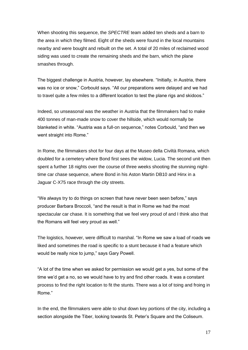When shooting this sequence, the *SPECTRE* team added ten sheds and a barn to the area in which they filmed. Eight of the sheds were found in the local mountains nearby and were bought and rebuilt on the set. A total of 20 miles of reclaimed wood siding was used to create the remaining sheds and the barn, which the plane smashes through.

The biggest challenge in Austria, however, lay elsewhere. "Initially, in Austria, there was no ice or snow," Corbould says. "All our preparations were delayed and we had to travel quite a few miles to a different location to test the plane rigs and skidoos."

Indeed, so unseasonal was the weather in Austria that the filmmakers had to make 400 tonnes of man-made snow to cover the hillside, which would normally be blanketed in white. "Austria was a full-on sequence," notes Corbould, "and then we went straight into Rome."

In Rome, the filmmakers shot for four days at the Museo della Civiltà Romana, which doubled for a cemetery where Bond first sees the widow, Lucia. The second unit then spent a further 18 nights over the course of three weeks shooting the stunning nighttime car chase sequence, where Bond in his Aston Martin DB10 and Hinx in a Jaguar C-X75 race through the city streets.

"We always try to do things on screen that have never been seen before," says producer Barbara Broccoli, "and the result is that in Rome we had the most spectacular car chase. It is something that we feel very proud of and I think also that the Romans will feel very proud as well."

The logistics, however, were difficult to marshal. "In Rome we saw a load of roads we liked and sometimes the road is specific to a stunt because it had a feature which would be really nice to jump," says Gary Powell.

"A lot of the time when we asked for permission we would get a yes, but some of the time we'd get a no, so we would have to try and find other roads. It was a constant process to find the right location to fit the stunts. There was a lot of toing and froing in Rome."

In the end, the filmmakers were able to shut down key portions of the city, including a section alongside the Tiber, looking towards St. Peter's Square and the Coliseum.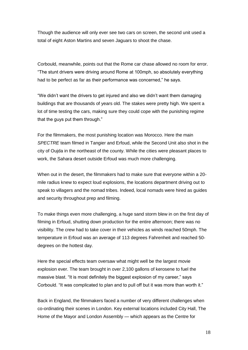Though the audience will only ever see two cars on screen, the second unit used a total of eight Aston Martins and seven Jaguars to shoot the chase.

Corbould, meanwhile, points out that the Rome car chase allowed no room for error. "The stunt drivers were driving around Rome at 100mph, so absolutely everything had to be perfect as far as their performance was concerned," he says.

"We didn't want the drivers to get injured and also we didn't want them damaging buildings that are thousands of years old. The stakes were pretty high. We spent a lot of time testing the cars, making sure they could cope with the punishing regime that the guys put them through."

For the filmmakers, the most punishing location was Morocco. Here the main *SPECTRE* team filmed in Tangier and Erfoud, while the Second Unit also shot in the city of Oujda in the northeast of the county. While the cities were pleasant places to work, the Sahara desert outside Erfoud was much more challenging.

When out in the desert, the filmmakers had to make sure that everyone within a 20 mile radius knew to expect loud explosions, the locations department driving out to speak to villagers and the nomad tribes. Indeed, local nomads were hired as guides and security throughout prep and filming.

To make things even more challenging, a huge sand storm blew in on the first day of filming in Erfoud, shutting down production for the entire afternoon; there was no visibility. The crew had to take cover in their vehicles as winds reached 50mph. The temperature in Erfoud was an average of 113 degrees Fahrenheit and reached 50 degrees on the hottest day.

Here the special effects team oversaw what might well be the largest movie explosion ever. The team brought in over 2,100 gallons of kerosene to fuel the massive blast. "It is most definitely the biggest explosion of my career," says Corbould. "It was complicated to plan and to pull off but it was more than worth it."

Back in England, the filmmakers faced a number of very different challenges when co-ordinating their scenes in London. Key external locations included City Hall, The Home of the Mayor and London Assembly — which appears as the Centre for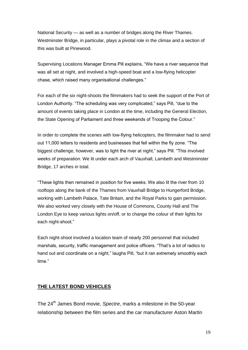National Security — as well as a number of bridges along the River Thames. Westminster Bridge, in particular, plays a pivotal role in the climax and a section of this was built at Pinewood.

Supervising Locations Manager Emma Pill explains, "We have a river sequence that was all set at night, and involved a high-speed boat and a low-flying helicopter chase, which raised many organisational challenges."

For each of the six night-shoots the filmmakers had to seek the support of the Port of London Authority. "The scheduling was very complicated," says Pill, "due to the amount of events taking place in London at the time, including the General Election, the State Opening of Parliament and three weekends of Trooping the Colour."

In order to complete the scenes with low-flying helicopters, the filmmaker had to send out 11,000 letters to residents and businesses that fell within the fly zone. "The biggest challenge, however, was to light the river at night," says Pill. "This involved weeks of preparation. We lit under each arch of Vauxhall, Lambeth and Westminster Bridge, 17 arches in total.

"These lights then remained in position for five weeks. We also lit the river from 10 rooftops along the bank of the Thames from Vauxhall Bridge to Hungerford Bridge, working with Lambeth Palace, Tate Britain, and the Royal Parks to gain permission. We also worked very closely with the House of Commons, County Hall and The London Eye to keep various lights on/off, or to change the colour of their lights for each night-shoot."

Each night-shoot involved a location team of nearly 200 personnel that included marshals, security, traffic management and police officers. "That's a lot of radios to hand out and coordinate on a night," laughs Pill, "but it ran extremely smoothly each time."

# **THE LATEST BOND VEHICLES**

The 24<sup>th</sup> James Bond movie, *Spectre*, marks a milestone in the 50-year relationship between the film series and the car manufacturer Aston Martin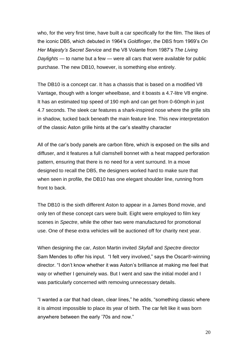who, for the very first time, have built a car specifically for the film. The likes of the iconic DB5, which debuted in 1964's *Goldfinger*, the DBS from 1969's *On Her Majesty's Secret Service* and the V8 Volante from 1987's *The Living Daylights* — to name but a few — were all cars that were available for public purchase. The new DB10, however, is something else entirely.

The DB10 is a concept car. It has a chassis that is based on a modified V8 Vantage, though with a longer wheelbase, and it boasts a 4.7-litre V8 engine. It has an estimated top speed of 190 mph and can get from 0-60mph in just 4.7 seconds. The sleek car features a shark-inspired nose where the grille sits in shadow, tucked back beneath the main feature line. This new interpretation of the classic Aston grille hints at the car's stealthy character

All of the car's body panels are carbon fibre, which is exposed on the sills and diffuser, and it features a full clamshell bonnet with a heat mapped perforation pattern, ensuring that there is no need for a vent surround. In a move designed to recall the DB5, the designers worked hard to make sure that when seen in profile, the DB10 has one elegant shoulder line, running from front to back.

The DB10 is the sixth different Aston to appear in a James Bond movie, and only ten of these concept cars were built. Eight were employed to film key scenes in *Spectre*, while the other two were manufactured for promotional use. One of these extra vehicles will be auctioned off for charity next year.

When designing the car, Aston Martin invited *Skyfall* and *Spectre* director Sam Mendes to offer his input. "I felt very involved," says the Oscar®-winning director. "I don't know whether it was Aston's brilliance at making me feel that way or whether I genuinely was. But I went and saw the initial model and I was particularly concerned with removing unnecessary details.

"I wanted a car that had clean, clear lines," he adds, "something classic where it is almost impossible to place its year of birth. The car felt like it was born anywhere between the early '70s and now."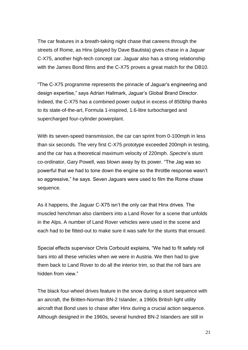The car features in a breath-taking night chase that careens through the streets of Rome, as Hinx (played by Dave Bautista) gives chase in a Jaguar C-X75, another high-tech concept car. Jaguar also has a strong relationship with the James Bond films and the C-X75 proves a great match for the DB10.

"The C-X75 programme represents the pinnacle of Jaguar's engineering and design expertise," says Adrian Hallmark, Jaguar's Global Brand Director. Indeed, the C-X75 has a combined power output in excess of 850bhp thanks to its state-of-the-art, Formula 1-inspired, 1.6-litre turbocharged and supercharged four-cylinder powerplant.

With its seven-speed transmission, the car can sprint from 0-100mph in less than six seconds. The very first C-X75 prototype exceeded 200mph in testing, and the car has a theoretical maximum velocity of 220mph. *Spectre*'s stunt co-ordinator, Gary Powell, was blown away by its power. "The Jag was so powerful that we had to tone down the engine so the throttle response wasn't so aggressive," he says. Seven Jaguars were used to film the Rome chase sequence.

As it happens, the Jaguar C-X75 isn't the only car that Hinx drives. The muscled henchman also clambers into a Land Rover for a scene that unfolds in the Alps. A number of Land Rover vehicles were used in the scene and each had to be fitted-out to make sure it was safe for the stunts that ensued.

Special effects supervisor Chris Corbould explains, "We had to fit safety roll bars into all these vehicles when we were in Austria. We then had to give them back to Land Rover to do all the interior trim, so that the roll bars are hidden from view."

The black four-wheel drives feature in the snow during a stunt sequence with an aircraft, the Britten-Norman BN-2 Islander, a 1960s British light utility aircraft that Bond uses to chase after Hinx during a crucial action sequence. Although designed in the 1960s, several hundred BN-2 Islanders are still in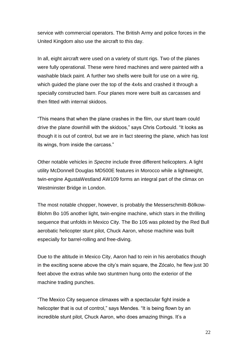service with commercial operators. The British Army and police forces in the United Kingdom also use the aircraft to this day.

In all, eight aircraft were used on a variety of stunt rigs. Two of the planes were fully operational. These were hired machines and were painted with a washable black paint. A further two shells were built for use on a wire rig, which guided the plane over the top of the 4x4s and crashed it through a specially constructed barn. Four planes more were built as carcasses and then fitted with internal skidoos.

"This means that when the plane crashes in the film, our stunt team could drive the plane downhill with the skidoos," says Chris Corbould. "It looks as though it is out of control, but we are in fact steering the plane, which has lost its wings, from inside the carcass."

Other notable vehicles in *Spectre* include three different helicopters. A light utility McDonnell Douglas MD500E features in Morocco while a lightweight, twin-engine AgustaWestland AW109 forms an integral part of the climax on Westminster Bridge in London.

The most notable chopper, however, is probably the Messerschmitt-Bölkow-Blohm Bo 105 another light, twin-engine machine, which stars in the thrilling sequence that unfolds in Mexico City. The Bo 105 was piloted by the Red Bull aerobatic helicopter stunt pilot, Chuck Aaron, whose machine was built especially for barrel-rolling and free-diving.

Due to the altitude in Mexico City, Aaron had to rein in his aerobatics though in the exciting scene above the city's main square, the Zócalo, he flew just 30 feet above the extras while two stuntmen hung onto the exterior of the machine trading punches.

"The Mexico City sequence climaxes with a spectacular fight inside a helicopter that is out of control," says Mendes. "It is being flown by an incredible stunt pilot, Chuck Aaron, who does amazing things. It's a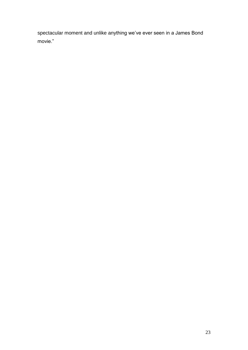spectacular moment and unlike anything we've ever seen in a James Bond movie."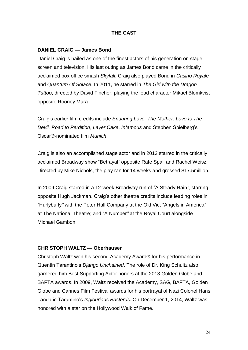# **THE CAST**

# **DANIEL CRAIG — James Bond**

Daniel Craig is hailed as one of the finest actors of his generation on stage, screen and television. His last outing as James Bond came in the critically acclaimed box office smash *Skyfall*. Craig also played Bond in *Casino Royale* and *Quantum Of Solace*. In 2011, he starred in *The Girl with the Dragon Tattoo*, directed by David Fincher, playing the lead character Mikael Blomkvist opposite Rooney Mara.

Craig's earlier film credits include *Enduring Love, The Mother*, *Love Is The Devil, Road to Perdition*, *Layer Cake*, *Infamous* and Stephen Spielberg's Oscar®-nominated film *Munich*.

Craig is also an accomplished stage actor and in 2013 starred in the critically acclaimed Broadway show "Betrayal*"* opposite Rafe Spall and Rachel Weisz. Directed by Mike Nichols, the play ran for 14 weeks and grossed \$17.5million.

In 2009 Craig starred in a 12-week Broadway run of *"*A Steady Rain*",* starring opposite Hugh Jackman. Craig's other theatre credits include leading roles in "Hurlyburly*"* with the Peter Hall Company at the Old Vic; "Angels in America" at The National Theatre; and "A Number*"* at the Royal Court alongside Michael Gambon.

# **CHRISTOPH WALTZ — Oberhauser**

Christoph Waltz won his second Academy Award® for his performance in Quentin Tarantino's *Django Unchained*. The role of Dr. King Schultz also garnered him Best Supporting Actor honors at the 2013 Golden Globe and BAFTA awards. In 2009, Waltz received the Academy, SAG, BAFTA, Golden Globe and Cannes Film Festival awards for his portrayal of Nazi Colonel Hans Landa in Tarantino's *Inglourious Basterds*. On December 1, 2014, Waltz was honored with a star on the Hollywood Walk of Fame.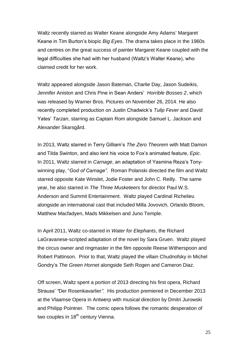Waltz recently starred as Walter Keane alongside Amy Adams' Margaret Keane in Tim Burton's biopic *Big Eyes*. The drama takes place in the 1960s and centres on the great success of painter Margaret Keane coupled with the legal difficulties she had with her husband (Waltz's Walter Keane), who claimed credit for her work.

Waltz appeared alongside Jason Bateman, Charlie Day, Jason Sudeikis, Jennifer Aniston and Chris Pine in Sean Anders' *Horrible Bosses 2*, which was released by Warner Bros. Pictures on November 26, 2014. He also recently completed production on Justin Chadwick's *Tulip Fever* and David Yates' *Tarzan*, starring as Captain Rom alongside Samuel L. Jackson and Alexander Skarsgård.

In 2013, Waltz starred in Terry Gilliam's *The Zero Theorem* with Matt Damon and Tilda Swinton, and also lent his voice to Fox's animated feature, *Epic*. In 2011, Waltz starred in *Carnage*, an adaptation of Yasmina Reza's Tonywinning play, "*God of Carnage"*. Roman Polanski directed the film and Waltz starred opposite Kate Winslet, Jodie Foster and John C. Reilly. The same year, he also starred in *The Three Musketeers* for director Paul W.S. Anderson and Summit Entertainment. Waltz played Cardinal Richelieu alongside an international cast that included Milla Jovovich, Orlando Bloom, Matthew Macfadyen, Mads Mikkelsen and Juno Temple.

In April 2011, Waltz co-starred in *Water for Elephants*, the Richard LaGravanese-scripted adaptation of the novel by Sara Gruen. Waltz played the circus owner and ringmaster in the film opposite Reese Witherspoon and Robert Pattinson. Prior to that, Waltz played the villain Chudnofsky in Michel Gondry's *The Green Hornet* alongside Seth Rogen and Cameron Diaz.

Off screen, Waltz spent a portion of 2013 directing his first opera, Richard Strauss' *"*Der Rosenkavarlier*"*. His production premiered in December 2013 at the Vlaamse Opera in Antwerp with musical direction by Dmitri Jurowski and Philipp Pointner. The comic opera follows the romantic desperation of two couples in  $18<sup>th</sup>$  century Vienna.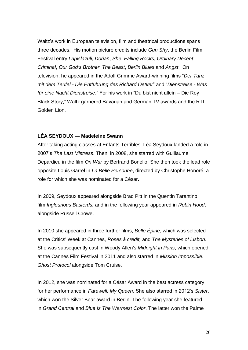Waltz's work in European television, film and theatrical productions spans three decades. His motion picture credits include *Gun Shy*, the Berlin Film Festival entry *Lapislazuli*, *Dorian*, *She*, *Falling Rocks*, *Ordinary Decent Criminal*, *Our God's Brother*, *The Beast*, *Berlin Blues* and *Angst*. On television, he appeared in the Adolf Grimme Award-winning films "*Der Tanz mit dem Teufel - Die Entführung des Richard Oetker*" and "*Dienstreise - Was für eine Nacht Dienstreise*." For his work in "Du bist nicht allein – Die Roy Black Story," Waltz garnered Bavarian and German TV awards and the RTL Golden Lion.

#### **LÉA SEYDOUX — Madeleine Swann**

After taking acting classes at Enfants Terribles, Léa Seydoux landed a role in 2007's *The Last Mistress*. Then, in 2008, she starred with Guillaume Depardieu in the film *On War* by Bertrand Bonello. She then took the lead role opposite Louis Garrel in *La Belle Personne*, directed by Christophe Honoré, a role for which she was nominated for a César.

In 2009, Seydoux appeared alongside Brad Pitt in the Quentin Tarantino film *Inglourious Basterds,* and in the following year appeared in *Robin Hood*, alongside Russell Crowe.

In 2010 she appeared in three further films, *Belle Épine*, which was selected at the Critics' Week at Cannes, *Roses à credit,* and *The Mysteries of Lisbon.* She was subsequently cast in Woody Allen's *Midnight in Paris*, which opened at the Cannes Film Festival in 2011 and also starred in *Mission Impossible: Ghost Protocol* alongside Tom Cruise.

In 2012, she was nominated for a César Award in the best actress category for her performance in *Farewell, My Queen*. She also starred in 2012's *Sister*, which won the Silver Bear award in Berlin. The following year she featured in *Grand Central* and *Blue Is The Warmest Color*. The latter won the Palme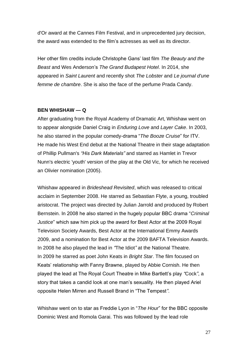d'Or award at the Cannes Film Festival, and in unprecedented jury decision, the award was extended to the film's actresses as well as its director.

Her other film credits include Christophe Gans' last film *The Beauty and the Beast* and Wes Anderson's *The Grand Budapest Hotel*. In 2014, she appeared in *Saint Laurent* and recently shot *The Lobster* and *Le journal d'une femme de chambre*. She is also the face of the perfume Prada Candy.

#### **BEN WHISHAW — Q**

After graduating from the Royal Academy of Dramatic Art, Whishaw went on to appear alongside Daniel Craig in *Enduring Love* and *Layer Cake*. In 2003, he also starred in the popular comedy-drama "*The Booze Cruise*" for ITV. He made his West End debut at the National Theatre in their stage adaptation of Phillip Pullman's *"His Dark Materials"* and starred as Hamlet in Trevor Nunn's electric 'youth' version of the play at the Old Vic, for which he received an Olivier nomination (2005).

Whishaw appeared in *Brideshead Revisited*, which was released to critical acclaim in September 2008. He starred as Sebastian Flyte, a young, troubled aristocrat. The project was directed by Julian Jarrold and produced by Robert Bernstein. In 2008 he also starred in the hugely popular BBC drama "*Criminal Justice*" which saw him pick up the award for Best Actor at the 2009 Royal Television Society Awards, Best Actor at the International Emmy Awards 2009, and a nomination for Best Actor at the 2009 BAFTA Television Awards. In 2008 he also played the lead in *"*The Idiot*"* at the National Theatre. In 2009 he starred as poet John Keats in *Bright Star*. The film focused on Keats' relationship with Fanny Brawne, played by Abbie Cornish. He then played the lead at The Royal Court Theatre in Mike Bartlett's play *"*Cock*"*, a story that takes a candid look at one man's sexuality. He then played Ariel opposite Helen Mirren and Russell Brand in "The Tempest*"*.

Whishaw went on to star as Freddie Lyon in "*The Hour*" for the BBC opposite Dominic West and Romola Garai. This was followed by the lead role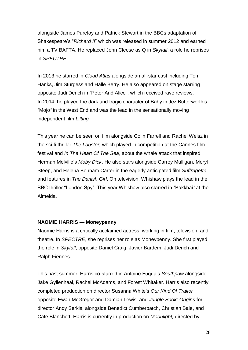alongside James Purefoy and Patrick Stewart in the BBCs adaptation of Shakespeare's "*Richard II*" which was released in summer 2012 and earned him a TV BAFTA. He replaced John Cleese as Q in *Skyfall*, a role he reprises in *SPECTRE*.

In 2013 he starred in *Cloud Atlas* alongside an all-star cast including Tom Hanks, Jim Sturgess and Halle Berry. He also appeared on stage starring opposite Judi Dench in *"*Peter And Alice", which received rave reviews. In 2014, he played the dark and tragic character of Baby in Jez Butterworth's *"*Mojo*"* in the West End and was the lead in the sensationally moving independent film *Lilting.*

This year he can be seen on film alongside Colin Farrell and Rachel Weisz in the sci-fi thriller *The Lobster,* which played in competition at the Cannes film festival and *In The Heart Of The Sea*, about the whale attack that inspired Herman Melville's *Moby Dick*. He also stars alongside Carrey Mulligan, Meryl Steep, and Helena Bonham Carter in the eagerly anticipated film *Suffragette*  and features in *The Danish Girl*. On television, Whishaw plays the lead in the BBC thriller "London Spy". This year Whishaw also starred in *"*Bakkhai*"* at the Almeida.

#### **NAOMIE HARRIS — Moneypenny**

Naomie Harris is a critically acclaimed actress, working in film, television, and theatre. In *SPECTRE*, she reprises her role as Moneypenny. She first played the role in *Skyfall*, opposite Daniel Craig, Javier Bardem, Judi Dench and Ralph Fiennes.

This past summer, Harris co-starred in Antoine Fuqua's *Southpaw* alongside Jake Gyllenhaal, Rachel McAdams, and Forest Whitaker. Harris also recently completed production on director Susanna White's *Our Kind Of Traitor* opposite Ewan McGregor and Damian Lewis; and *Jungle Book: Origins* for director Andy Serkis, alongside Benedict Cumberbatch, Christian Bale, and Cate Blanchett. Harris is currently in production on *Moonlight,* directed by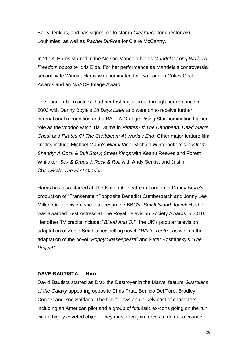Barry Jenkins, and has signed on to star in *Clearance* for director Aku Louhimies, as well as *Rachel DuPree* for Claire McCarthy.

In 2013, Harris starred in the Nelson Mandela biopic *Mandela: Long Walk To Freedom* opposite Idris Elba. For her performance as Mandela's controversial second wife Winnie, Harris was nominated for two London Critics Circle Awards and an NAACP Image Award.

The London-born actress had her first major breakthrough performance in 2002 with Danny Boyle's *28 Days Later* and went on to receive further international recognition and a BAFTA Orange Rising Star nomination for her role as the voodoo witch Tia Dalma in *Pirates Of The Caribbean: Dead Man's Chest* and *Pirates Of The Caribbean: At World's End*. Other major feature film credits include Michael Mann's *Miami Vice*; Michael Winterbottom's *Tristram Shandy: A Cock & Bull Story*; *Street Kings* with Keanu Reeves and Forest Whitaker; *Sex & Drugs & Rock & Roll* with Andy Serkis; and Justin Chadwick's *The First Grader*.

Harris has also starred at The National Theatre in London in Danny Boyle's production of "Frankenstein*"* opposite Benedict Cumberbatch and Jonny Lee Miller. On television, she featured in the BBC's "*Small Island*" for which she was awarded Best Actress at The Royal Television Society Awards in 2010. Her other TV credits include: "*Blood And Oil*"; the UK's popular television adaptation of Zadie Smith's bestselling novel, "*White Teeth*"; as well as the adaptation of the novel "*Poppy Shakespeare*" and Peter Kosminsky's "*The Project*".

#### **DAVE BAUTISTA — Hinx**

David Bautista starred as Drax the Destroyer in the Marvel feature *Guardians of the Galaxy* appearing opposite Chris Pratt, Benicio Del Toro, Bradley Cooper and Zoe Saldana. The film follows an unlikely cast of characters including an American pilot and a group of futuristic ex-cons going on the run with a highly coveted object. They must then join forces to defeat a cosmic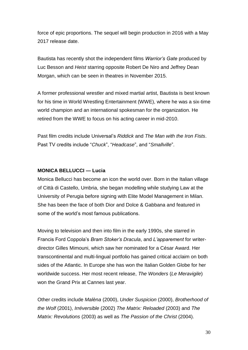force of epic proportions. The sequel will begin production in 2016 with a May 2017 release date.

Bautista has recently shot the independent films *Warrior's Gate* produced by Luc Besson and *Heist* starring opposite Robert De Niro and Jeffrey Dean Morgan, which can be seen in theatres in November 2015.

A former professional wrestler and mixed martial artist, Bautista is best known for his time in World Wrestling Entertainment (WWE), where he was a six-time world champion and an international spokesman for the organization. He retired from the WWE to focus on his acting career in mid-2010.

Past film credits include Universal's *Riddick* and *The Man with the Iron Fists*. Past TV credits include "*Chuck*", "*Headcase*", and "*Smallville*".

#### **MONICA BELLUCCI — Lucia**

Monica Bellucci has become an icon the world over. Born in the Italian village of Città di Castello, Umbria, she began modelling while studying Law at the University of Perugia before signing with Elite Model Management in Milan. She has been the face of both Dior and Dolce & Gabbana and featured in some of the world's most famous publications.

Moving to television and then into film in the early 1990s, she starred in Francis Ford Coppola's *Bram Stoker's Dracula*, and *L'apparement* for writerdirector Gilles Mimouni, which saw her nominated for a César Award. Her transcontinental and multi-lingual portfolio has gained critical acclaim on both sides of the Atlantic. In Europe she has won the Italian Golden Globe for her worldwide success. Her most recent release, *The Wonders* (*Le Meravigile*) won the Grand Prix at Cannes last year.

Other credits include *Malèna* (2000), *Under Suspicion* (2000), *Brotherhood of the Wolf* (2001), *Irréversible* (2002) *The Matrix: Reloaded* (2003) and *The Matrix: Revolutions* (2003) as well as *The Passion of the Christ* (2004).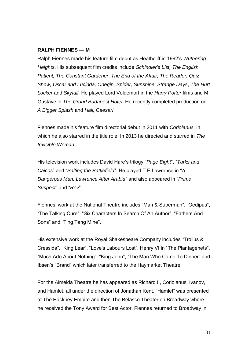#### **RALPH FIENNES — M**

Ralph Fiennes made his feature film debut as Heathcliff in 1992's *Wuthering Heights*. His subsequent film credits include *Schindler's List, The English Patient, The Constant Gardener, The End of the Affair, The Reader, Quiz Show, Oscar and Lucinda, Onegin, Spider, Sunshine, Strange Days*, *The Hurt Locker* and *Skyfall.* He played Lord Voldemort in the *Harry Potter* films and M. Gustave in *The Grand Budapest Hotel*. He recently completed production on *A Bigger Splash* and *Hail, Caesar!*

Fiennes made his feature film directorial debut in 2011 with *Coriolanus,* in which he also starred in the title role. In 2013 he directed and starred in *The Invisible Woman*.

His television work includes David Hare's trilogy "*Page Eight*", "*Turks and Caicos*" and "*Salting the Battlefield*". He played T.E Lawrence in "*A Dangerous Man: Lawrence After Arabia*" and also appeared in "*Prime Suspect*" and "*Rev*".

Fiennes' work at the National Theatre includes "Man & Superman", "Oedipus", "The Talking Cure", "Six Characters In Search Of An Author", "Fathers And Sons" and "Ting Tang Mine".

His extensive work at the Royal Shakespeare Company includes *"*Troilus & Cressida", "King Lear", "Love's Labours Lost", Henry VI in "The Plantagenets", "Much Ado About Nothing", "King John", "The Man Who Came To Dinner" and Ibsen's "Brand" which later transferred to the Haymarket Theatre.

For the Almeida Theatre he has appeared as Richard II, Coriolanus, Ivanov, and Hamlet, all under the direction of Jonathan Kent. "Hamlet" was presented at The Hackney Empire and then The Belasco Theater on Broadway where he received the Tony Award for Best Actor. Fiennes returned to Broadway in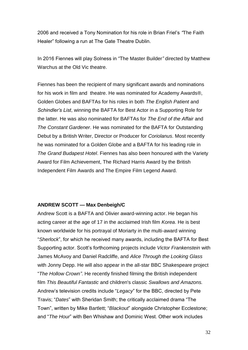2006 and received a Tony Nomination for his role in Brian Friel's *"*The Faith Healer" following a run at The Gate Theatre Dublin.

In 2016 Fiennes will play Solness in "The Master Builder*"* directed by Matthew Warchus at the Old Vic theatre.

Fiennes has been the recipient of many significant awards and nominations for his work in film and theatre. He was nominated for Academy Awards®, Golden Globes and BAFTAs for his roles in both *The English Patient* and *Schindler's List*, winning the BAFTA for Best Actor in a Supporting Role for the latter. He was also nominated for BAFTAs for *The End of the Affair* and *The Constant Gardener*. He was nominated for the BAFTA for Outstanding Debut by a British Writer, Director or Producer for *Coriolanus*. Most recently he was nominated for a Golden Globe and a BAFTA for his leading role in *The Grand Budapest Hotel*. Fiennes has also been honoured with the Variety Award for Film Achievement, The Richard Harris Award by the British Independent Film Awards and The Empire Film Legend Award.

#### **ANDREW SCOTT — Max Denbeigh/C**

Andrew Scott is a BAFTA and Olivier award-winning actor. He began his acting career at the age of 17 in the acclaimed Irish film *Korea*. He is best known worldwide for his portrayal of Moriarty in the multi-award winning "*Sherlock*", for which he received many awards, including the BAFTA for Best Supporting actor. Scott's forthcoming projects include *Victor Frankenstein* with James McAvoy and Daniel Radcliffe, and *Alice Through the Looking Glass* with Jonny Depp. He will also appear in the all-star BBC Shakespeare project "*The Hollow Crown"*. He recently finished filming the British independent film *This Beautiful Fantastic* and children's classic *Swallows and Amazons.* Andrew's television credits include "*Legacy*" for the BBC, directed by Pete Travis; "*Dates*" with Sheridan Smith; the critically acclaimed drama "The Town", written by Mike Bartlett; "*Blackout*" alongside Christopher Ecclestone; and "*The Hour*" with Ben Whishaw and Dominic West. Other work includes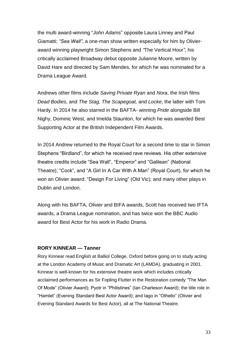the multi award-winning "*John Adams*" opposite Laura Linney and Paul Giamatti; *"Sea Wall"*, a one-man show written especially for him by Olivieraward winning playwright Simon Stephens and *"*The Vertical Hour*"*, his critically acclaimed Broadway debut opposite Julianne Moore, written by David Hare and directed by Sam Mendes, for which he was nominated for a Drama League Award.

Andrews other films include *Saving Private Ryan* and *Nora*, the Irish films *Dead Bodies*, and *The Stag, The Scapegoat,* and *Locke*, the latter with Tom Hardy. In 2014 he also starred in the BAFTA- winning *Pride* alongside Bill Nighy, Dominic West, and Imelda Staunton, for which he was awarded Best Supporting Actor at the British Independent Film Awards.

In 2014 Andrew returned to the Royal Court for a second time to star in Simon Stephens "Birdland", for which he received rave reviews. His other extensive theatre credits include "Sea Wall", "Emperor" and "Galilean" (National Theatre); "Cock", and "A Girl In A Car With A Man" (Royal Court), for which he won an Olivier award: "Design For Living" (Old Vic); and many other plays in Dublin and London.

Along with his BAFTA, Olivier and BIFA awards, Scott has received two IFTA awards, a Drama League nomination, and has twice won the BBC Audio award for Best Actor for his work in Radio Drama.

# **RORY KINNEAR — Tanner**

Rory Kinnear read English at Balliol College, Oxford before going on to study acting at the London Academy of Music and Dramatic Art (LAMDA), graduating in 2001. Kinnear is well-known for his extensive theatre work which includes critically acclaimed performances as Sir Fopling Flutter in the Restoration comedy *"*The Man Of Mode" (Olivier Award); Pyotr in "Philistines" (Ian Charleson Award); the title role in "Hamlet" (Evening Standard Best Actor Award); and Iago in "Othello" (Olivier and Evening Standard Awards for Best Actor), all at The National Theatre.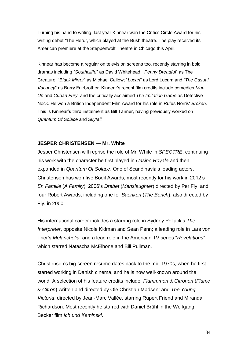Turning his hand to writing, last year Kinnear won the Critics Circle Award for his writing debut *"*The Herd*"*, which played at the Bush theatre. The play received its American premiere at the Steppenwolf Theatre in Chicago this April.

Kinnear has become a regular on television screens too, recently starring in bold dramas including "*Southcliffe*" as David Whitehead; "*Penny Dreadful*" as The Creature; "*Black Mirror*" as Michael Callow; "*Lucan*" as Lord Lucan; and "*The Casual Vacancy*" as Barry Fairbrother. Kinnear's recent film credits include comedies *Man Up* and *Cuban Fury,* and the critically acclaimed *The Imitation Game* as Detective Nock. He won a British Independent Film Award for his role in Rufus Norris' *Broken*. This is Kinnear's third instalment as Bill Tanner, having previously worked on *Quantum Of Solace* and *Skyfall.*

#### **JESPER CHRISTENSEN — Mr. White**

Jesper Christensen will reprise the role of Mr. White in *SPECTRE*, continuing his work with the character he first played in *Casino Royale* and then expanded in *Quantum Of Solace*. One of Scandinavia's leading actors, Christensen has won five Bodil Awards, most recently for his work in 2012's *En Familie* (*A Family*), 2006's *Drabet* (*Manslaughter*) directed by Per Fly, and four Robert Awards, including one for *Baenken* (*The Bench*), also directed by Fly, in 2000.

His international career includes a starring role in Sydney Pollack's *The Interpreter*, opposite Nicole Kidman and Sean Penn; a leading role in Lars von Trier's *Melancholia;* and a lead role in the American TV series "*Revelations*" which starred Natascha McElhone and Bill Pullman.

Christensen's big-screen resume dates back to the mid-1970s, when he first started working in Danish cinema, and he is now well-known around the world. A selection of his feature credits include; *Flammmen & Citronen* (*Flame & Citron*) written and directed by Ole Christian Madsen; and *The Young Victoria*, directed by Jean-Marc Vallée, starring Rupert Friend and Miranda Richardson. Most recently he starred with Daniel Brühl in the Wolfgang Becker film *Ich und Kaminski*.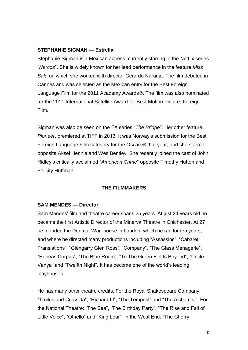#### **STEPHANIE SIGMAN — Estrella**

Stephanie Sigman is a Mexican actress, currently starring in the Netflix series "*Narcos*". She is widely known for her lead performance in the feature *Miss Bala* on which she worked with director Gerardo Naranjo. The film debuted in Cannes and was selected as the Mexican entry for the Best Foreign Language Film for the 2011 Academy Awards®. The film was also nominated for the 2011 International Satellite Award for Best Motion Picture, Foreign Film.

Sigman was also be seen on the FX series "*The Bridge*". Her other feature, *Pioneer*, premiered at TIFF in 2013. It was Norway's submission for the Best Foreign Language Film category for the Oscars® that year, and she starred opposite Aksel Hennie and Wes Bentley. She recently joined the cast of John Ridley's critically acclaimed "*American Crime*" opposite Timothy Hutton and Felicity Huffman.

# **THE FILMMAKERS**

#### **SAM MENDES — Director**

Sam Mendes' film and theatre career spans 25 years. At just 24 years old he became the first Artistic Director of the Minerva Theatre in Chichester. At 27 he founded the Donmar Warehouse in London, which he ran for ten years, and where he directed many productions including "Assassins", "Cabaret, Translations", "Glengarry Glen Ross", "Company", "The Glass Menagerie", "Habeas Corpus", "The Blue Room", "To The Green Fields Beyond", "Uncle Vanya" and "Twelfth Night"*.* It has become one of the world's leading playhouses.

He has many other theatre credits. For the Royal Shakespeare Company: "Troilus and Cressida", "Richard III", "The Tempest" and "The Alchemist". For the National Theatre: "The Sea", "The Birthday Party", "The Rise and Fall of Little Voice", "Othello" and "King Lear". In the West End: "The Cherry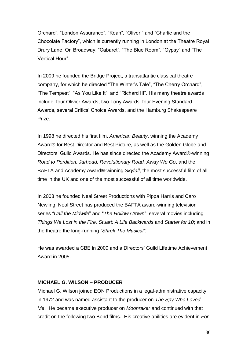Orchard", "London Assurance", "Kean", "Oliver!" and "Charlie and the Chocolate Factory", which is currently running in London at the Theatre Royal Drury Lane. On Broadway: "Cabaret", "The Blue Room", "Gypsy" and "The Vertical Hour".

In 2009 he founded the Bridge Project, a transatlantic classical theatre company, for which he directed "The Winter's Tale", "The Cherry Orchard", "The Tempest", "As You Like It", and "Richard III". His many theatre awards include: four Olivier Awards, two Tony Awards, four Evening Standard Awards, several Critics' Choice Awards, and the Hamburg Shakespeare Prize.

In 1998 he directed his first film, *American Beauty*, winning the Academy Award® for Best Director and Best Picture, as well as the Golden Globe and Directors' Guild Awards. He has since directed the Academy Award®-winning *Road to Perdition, Jarhead, Revolutionary Road, Away We Go*, and the BAFTA and Academy Award®-winning *Skyfall*, the most successful film of all time in the UK and one of the most successful of all time worldwide.

In 2003 he founded Neal Street Productions with Pippa Harris and Caro Newling. Neal Street has produced the BAFTA award-winning television series "*Call the Midwife*" and "*The Hollow Crown*"; several movies including *Things We Lost in the Fire, Stuart: A Life Backwards* and *Starter for 10*; and in the theatre the long-running *"Shrek The Musical".*

He was awarded a CBE in 2000 and a Directors' Guild Lifetime Achievement Award in 2005.

# **MICHAEL G. WILSON – PRODUCER**

Michael G. Wilson joined EON Productions in a legal-administrative capacity in 1972 and was named assistant to the producer on *The Spy Who Loved Me*. He became executive producer on *Moonraker* and continued with that credit on the following two Bond films. His creative abilities are evident in *For*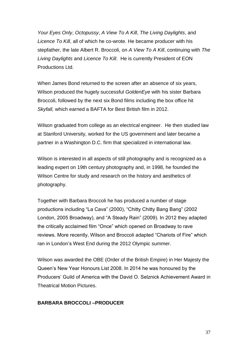*Your Eyes Only*, *Octopussy*, *A View To A Kill*, *The Living Daylights*, and *Licence To Kill*, all of which he co-wrote. He became producer with his stepfather, the late Albert R. Broccoli, on *A View To A Kill*, continuing with *The Living Daylights* and *Licence To Kill*. He is currently President of EON Productions Ltd.

When James Bond returned to the screen after an absence of six years, Wilson produced the hugely successful *GoldenEye* with his sister Barbara Broccoli, followed by the next six Bond films including the box office hit *Skyfall,* which earned a BAFTA for Best British film in 2012.

Wilson graduated from college as an electrical engineer. He then studied law at Stanford University, worked for the US government and later became a partner in a Washington D.C. firm that specialized in international law.

Wilson is interested in all aspects of still photography and is recognized as a leading expert on 19th century photography and, in 1998, he founded the Wilson Centre for study and research on the history and aesthetics of photography.

Together with Barbara Broccoli he has produced a number of stage productions including "La Cava" (2000), "Chitty Chitty Bang Bang" (2002 London, 2005 Broadway), and "A Steady Rain" (2009). In 2012 they adapted the critically acclaimed film "Once" which opened on Broadway to rave reviews. More recently, Wilson and Broccoli adapted "Chariots of Fire" which ran in London's West End during the 2012 Olympic summer.

Wilson was awarded the OBE (Order of the British Empire) in Her Majesty the Queen's New Year Honours List 2008. In 2014 he was honoured by the Producers' Guild of America with the David O. Selznick Achievement Award in Theatrical Motion Pictures.

# **BARBARA BROCCOLI –PRODUCER**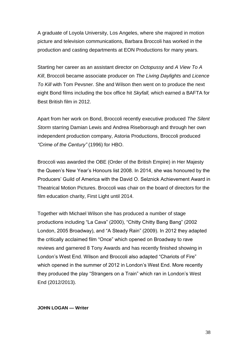A graduate of Loyola University, Los Angeles, where she majored in motion picture and television communications, Barbara Broccoli has worked in the production and casting departments at EON Productions for many years.

Starting her career as an assistant director on *Octopussy* and *A View To A Kill*, Broccoli became associate producer on *The Living Daylights* and *Licence To Kill* with Tom Pevsner. She and Wilson then went on to produce the next eight Bond films including the box office hit *Skyfall,* which earned a BAFTA for Best British film in 2012.

Apart from her work on Bond, Broccoli recently executive produced *The Silent Storm* starring Damian Lewis and Andrea Riseborough and through her own independent production company, Astoria Productions, Broccoli produced *"Crime of the Century"* (1996) for HBO.

Broccoli was awarded the OBE (Order of the British Empire) in Her Majesty the Queen's New Year's Honours list 2008. In 2014, she was honoured by the Producers' Guild of America with the David O. Selznick Achievement Award in Theatrical Motion Pictures. Broccoli was chair on the board of directors for the film education charity, First Light until 2014.

Together with Michael Wilson she has produced a number of stage productions including "La Cava" (2000), "Chitty Chitty Bang Bang" (2002 London, 2005 Broadway), and "A Steady Rain" (2009). In 2012 they adapted the critically acclaimed film "Once" which opened on Broadway to rave reviews and garnered 8 Tony Awards and has recently finished showing in London's West End. Wilson and Broccoli also adapted "Chariots of Fire" which opened in the summer of 2012 in London's West End. More recently they produced the play "Strangers on a Train" which ran in London's West End (2012/2013).

**JOHN LOGAN — Writer**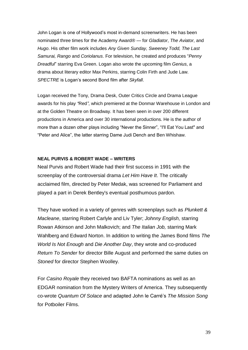John Logan is one of Hollywood's most in-demand screenwriters. He has been nominated three times for the Academy Award® — for *Gladiator*, *The Aviator*, and *Hugo*. His other film work includes *Any Given Sunday, Sweeney Todd, The Last Samurai, Rango* and *Coriolanus*. For television, he created and produces "*Penny Dreadful*" starring Eva Green. Logan also wrote the upcoming film *Genius*, a drama about literary editor Max Perkins, starring Colin Firth and Jude Law. *SPECTRE* is Logan's second Bond film after *Skyfall*.

Logan received the Tony, Drama Desk, Outer Critics Circle and Drama League awards for his play *"*Red*"*, which premiered at the Donmar Warehouse in London and at the Golden Theatre on Broadway. It has been seen in over 200 different productions in America and over 30 international productions. He is the author of more than a dozen other plays including "Never the Sinner", "I'll Eat You Last" and "Peter and Alice", the latter starring Dame Judi Dench and Ben Whishaw.

#### **NEAL PURVIS & ROBERT WADE – WRITERS**

Neal Purvis and Robert Wade had their first success in 1991 with the screenplay of the controversial drama *Let Him Have It*. The critically acclaimed film, directed by Peter Medak, was screened for Parliament and played a part in Derek Bentley's eventual posthumous pardon.

They have worked in a variety of genres with screenplays such as *Plunkett & Macleane*, starring Robert Carlyle and Liv Tyler; *Johnny English,* starring Rowan Atkinson and John Malkovich; and *The Italian Job,* starring Mark Wahlberg and Edward Norton. In addition to writing the James Bond films *The World Is Not Enough* and *Die Another Day*, they wrote and co-produced *Return To Sender* for director Bille August and performed the same duties on *Stoned* for director Stephen Woolley.

For *Casino Royale* they received two BAFTA nominations as well as an EDGAR nomination from the Mystery Writers of America. They subsequently co-wrote *Quantum Of Solace* and adapted John le Carré's *The Mission Song* for Potboiler Films.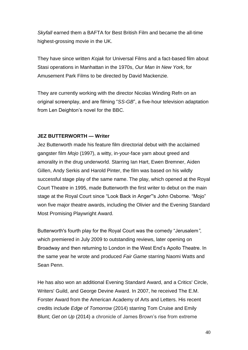*Skyfall* earned them a BAFTA for Best British Film and became the all-time highest-grossing movie in the UK.

They have since written *Kojak* for Universal Films and a fact-based film about Stasi operations in Manhattan in the 1970s, *Our Man In New York*, for Amusement Park Films to be directed by David Mackenzie.

They are currently working with the director Nicolas Winding Refn on an original screenplay, and are filming "*SS-GB*", a five-hour television adaptation from Len Deighton's novel for the BBC.

#### **JEZ BUTTERWORTH — Writer**

Jez Butterworth made his feature film directorial debut with the acclaimed gangster film *Mojo* (1997), a witty, in-your-face yarn about greed and amorality in the drug underworld. Starring Ian Hart, Ewen Bremner, Aiden Gillen, Andy Serkis and Harold Pinter, the film was based on his wildly successful stage play of the same name. The play, which opened at the Royal Court Theatre in 1995, made Butterworth the first writer to debut on the main stage at the Royal Court since "Look Back in Anger"'s John Osborne. "Mojo" won five major theatre awards, including the Olivier and the Evening Standard Most Promising Playwright Award.

Butterworth's fourth play for the Royal Court was the comedy "Jerusalem*"*, which premiered in July 2009 to outstanding reviews, later opening on Broadway and then returning to London in the West End's Apollo Theatre. In the same year he wrote and produced *Fair Game* starring Naomi Watts and Sean Penn.

He has also won an additional Evening Standard Award, and a Critics' Circle, Writers' Guild, and George Devine Award. In 2007, he received The E.M. Forster Award from the American Academy of Arts and Letters. His recent credits include *Edge of Tomorrow* (2014) starring Tom Cruise and Emily Blunt; *Get on Up* (2014) a chronicle of James Brown's rise from extreme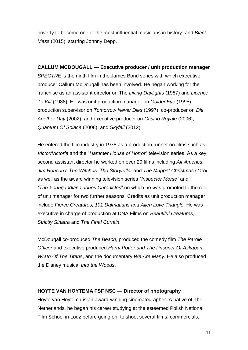poverty to become one of the most influential musicians in history; and *Black Mass* (2015), starring Johnny Depp.

#### **CALLUM MCDOUGALL — Executive producer / unit production manager**

*SPECTRE* is the ninth film in the James Bond series with which executive producer Callum McDougall has been involved. He began working for the franchise as an assistant director on The *Living Daylights* (1987) and *Licence To Kill* (1988). He was unit production manager on *GoldenEye* (1995); production supervisor on *Tomorrow Never Dies* (1997); co-producer on *Die Another Day* (2002); and executive producer on *Casino Royale* (2006), *Quantum Of Solace* (2008), and *Skyfall* (2012).

He entered the film industry in 1978 as a production runner on films such as *Victor/Victoria* and the "*Hammer House of Horror*" television series. As a key second assistant director he worked on over 20 films including *Air America, Jim Henson's The Witches, The Storyteller* and *The Muppet Christmas Carol*, as well as the award winning television series "*Inspector Morse"* and *"The Young Indiana Jones Chronicles*" on which he was promoted to the role of unit manager for two further seasons. Credits as unit production manager include *Fierce Creatures, 101 Dalmatians and Alien Love Triangle*. He was executive in charge of production at DNA Films on *Beautiful Creatures, Strictly Sinatra* and *The Final Curtain*.

McDougall co-produced *The Beach*, produced the comedy film *The Parole Officer* and executive produced *Harry Potter and The Prisoner Of Azkaban*, *Wrath Of The Titans*, and the documentary *We Are Many*. He also produced the Disney musical *Into the Woods*.

# **HOYTE VAN HOYTEMA FSF NSC — Director of photography**

Hoyte van Hoytema is an award-winning cinematographer. A native of The Netherlands, he began his career studying at the esteemed Polish National Film School in Lodz before going on to shoot several films, commercials,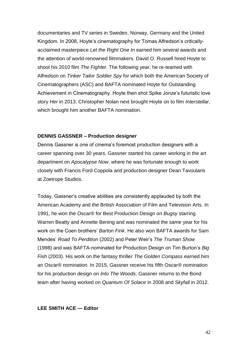documentaries and TV series in Sweden, Norway, Germany and the United Kingdom. In 2008, Hoyte's cinematography for Tomas Alfredson's criticallyacclaimed masterpiece *Let the Right One In* earned him several awards and the attention of world-renowned filmmakers. David O. Russell hired Hoyte to shoot his 2010 film *The Fighter*. The following year, he re-teamed with Alfredson on *Tinker Tailor Soldier Spy* for which both the American Society of Cinematographers (ASC) and BAFTA nominated Hoyte for Outstanding Achievement in Cinematography. Hoyte then shot Spike Jonze's futuristic love story *Her* in 2013. Christopher Nolan next brought Hoyte on to film *Interstellar*, which brought him another BAFTA nomination.

#### **DENNIS GASSNER – Production designer**

Dennis Gassner is one of cinema's foremost production designers with a career spanning over 30 years. Gassner started his career working in the art department on *Apocalypse Now*, where he was fortunate enough to work closely with Francis Ford Coppola and production designer Dean Tavoularis at Zoetrope Studios.

Today, Gassner's creative abilities are consistently applauded by both the American Academy and the British Association of Film and Television Arts. In 1991, he won the Oscar® for Best Production Design on *Bugsy* starring Warren Beatty and Annette Bening and was nominated the same year for his work on the Coen brothers' *Barton Fink*. He also won BAFTA awards for Sam Mendes' *Road To Perdition* (2002) and Peter Weir's *The Truman Show*  (1998) and was BAFTA-nominated for Production Design on Tim Burton's *Big Fish* (2003). His work on the fantasy thriller *The Golden Compass* earned him an Oscar® nomination. In 2015, Gassner receive his fifth Oscar® nomination for his production design on *Into The Woods*. Gassner returns to the Bond team after having worked on *Quantum Of Solace* in 2008 and *Skyfall* in 2012.

#### **LEE SMITH ACE — Editor**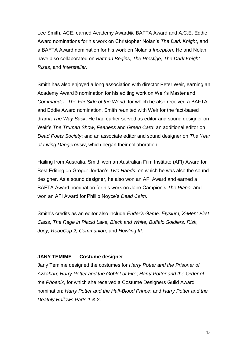Lee Smith, ACE, earned Academy Award®, BAFTA Award and A.C.E. Eddie Award nominations for his work on Christopher Nolan's *The Dark Knight*, and a BAFTA Award nomination for his work on Nolan's *Inception*. He and Nolan have also collaborated on *Batman Begins, The Prestige, The Dark Knight Rises*, and *Interstellar*.

Smith has also enjoyed a long association with director Peter Weir, earning an Academy Award® nomination for his editing work on Weir's Master and *Commander: The Far Side of the World*, for which he also received a BAFTA and Eddie Award nomination. Smith reunited with Weir for the fact-based drama *The Way Back*. He had earlier served as editor and sound designer on Weir's *The Truman Show, Fearless* and *Green Card*; an additional editor on *Dead Poets Society*; and an associate editor and sound designer on *The Year of Living Dangerously*, which began their collaboration.

Hailing from Australia, Smith won an Australian Film Institute (AFI) Award for Best Editing on Gregor Jordan's *Two Hands*, on which he was also the sound designer. As a sound designer, he also won an AFI Award and earned a BAFTA Award nomination for his work on Jane Campion's *The Piano*, and won an AFI Award for Phillip Noyce's *Dead Calm*.

Smith's credits as an editor also include *Ender's Game, Elysium, X-Men: First Class, The Rage in Placid Lake, Black and White, Buffalo Soldiers, Risk, Joey, RoboCop 2, Communion,* and *Howling III*.

#### **JANY TEMIME — Costume designer**

Jany Temime designed the costumes for *Harry Potter and the Prisoner of Azkaban*; *Harry Potter and the Goblet of Fire*; *Harry Potter and the Order of the Phoenix*, for which she received a Costume Designers Guild Award nomination; *Harry Potter and the Half-Blood Prince*; and *Harry Potter and the Deathly Hallows Parts 1 & 2*.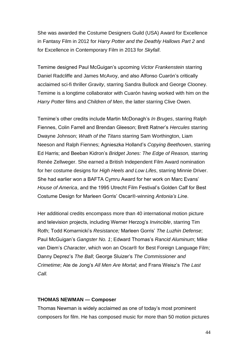She was awarded the Costume Designers Guild (USA) Award for Excellence in Fantasy Film in 2012 for *Harry Potter and the Deathly Hallows Part 2* and for Excellence in Contemporary Film in 2013 for *Skyfall*.

Temime designed Paul McGuigan's upcoming *Victor Frankenstein* starring Daniel Radcliffe and James McAvoy, and also Alfonso Cuarón's critically acclaimed sci-fi thriller *Gravity*, starring Sandra Bullock and George Clooney. Temime is a longtime collaborator with Cuarón having worked with him on the *Harry Potter* films and *Children of Men*, the latter starring Clive Owen.

Temime's other credits include Martin McDonagh's *In Bruges*, starring Ralph Fiennes, Colin Farrell and Brendan Gleeson; Brett Ratner's *Hercules* starring Dwayne Johnson; *Wrath of the Titans* starring Sam Worthington, Liam Neeson and Ralph Fiennes; Agnieszka Holland's *Copying Beethoven*, starring Ed Harris; and Beeban Kidron's *Bridget Jones: The Edge of Reason,* starring Renée Zellweger. She earned a British Independent Film Award nomination for her costume designs for *High Heels and Low Lifes*, starring Minnie Driver. She had earlier won a BAFTA Cymru Award for her work on Marc Evans' *House of America*, and the 1995 Utrecht Film Festival's Golden Calf for Best Costume Design for Marleen Gorris' Oscar®-winning *Antonia's Line*.

Her additional credits encompass more than 40 international motion picture and television projects, including Werner Herzog's *Invincible*, starring Tim Roth; Todd Komarnicki's *Resistance;* Marleen Gorris' *The Luzhin Defense*; Paul McGuigan's *Gangster No. 1*; Edward Thomas's *Rancid Aluminum*; Mike van Diem's *Character*, which won an Oscar® for Best Foreign Language Film; Danny Deprez's *The Ball*; George Sluizer's *The Commissioner and Crimetime*; Ate de Jong's *All Men Are Mortal*; and Frans Weisz's *The Last Call.*

#### **THOMAS NEWMAN — Composer**

Thomas Newman is widely acclaimed as one of today's most prominent composers for film. He has composed music for more than 50 motion pictures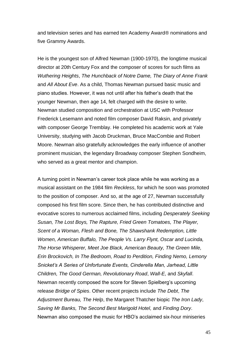and television series and has earned ten Academy Award® nominations and five Grammy Awards.

He is the youngest son of Alfred Newman (1900-1970), the longtime musical director at 20th Century Fox and the composer of scores for such films as *Wuthering Heights*, *The Hunchback of Notre Dame, The Diary of Anne Frank* and *All About Eve*. As a child, Thomas Newman pursued basic music and piano studies. However, it was not until after his father's death that the younger Newman, then age 14, felt charged with the desire to write. Newman studied composition and orchestration at USC with Professor Frederick Lesemann and noted film composer David Raksin, and privately with composer George Tremblay. He completed his academic work at Yale University, studying with Jacob Druckman, Bruce MacCombie and Robert Moore. Newman also gratefully acknowledges the early influence of another prominent musician, the legendary Broadway composer Stephen Sondheim, who served as a great mentor and champion.

A turning point in Newman's career took place while he was working as a musical assistant on the 1984 film *Reckless*, for which he soon was promoted to the position of composer. And so, at the age of 27, Newman successfully composed his first film score. Since then, he has contributed distinctive and evocative scores to numerous acclaimed films, including *Desperately Seeking Susan, The Lost Boys, The Rapture, Fried Green Tomatoes, The Player, Scent of a Woman, Flesh and Bone, The Shawshank Redemption, Little Women, American Buffalo, The People Vs. Larry Flynt, Oscar and Lucinda, The Horse Whisperer, Meet Joe Black, American Beauty, The Green Mile, Erin Brockovich, In The Bedroom, Road to Perdition, Finding Nemo, Lemony Snicket's A Series of Unfortunate Events, Cinderella Man, Jarhead, Little Children, The Good German, Revolutionary Road*, *Wall-E,* and *Skyfall*. Newman recently composed the score for Steven Spielberg's upcoming release *Bridge of Spies*. Other recent projects include *The Debt*, *The Adjustment Bureau, The Help*, the Margaret Thatcher biopic *The Iron Lady*, *Saving Mr Banks, The Second Best Marigold Hotel,* and *Finding Dory*. Newman also composed the music for HBO's acclaimed six-hour miniseries

45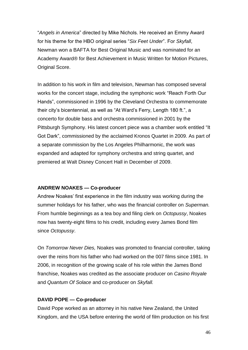"*Angels in America*" directed by Mike Nichols. He received an Emmy Award for his theme for the HBO original series "*Six Feet Under*". For *Skyfall*, Newman won a BAFTA for Best Original Music and was nominated for an Academy Award® for Best Achievement in Music Written for Motion Pictures, Original Score.

In addition to his work in film and television, Newman has composed several works for the concert stage, including the symphonic work "Reach Forth Our Hands", commissioned in 1996 by the Cleveland Orchestra to commemorate their city's bicentennial, as well as "At Ward's Ferry, Length 180 ft.", a concerto for double bass and orchestra commissioned in 2001 by the Pittsburgh Symphony. His latest concert piece was a chamber work entitled "It Got Dark", commissioned by the acclaimed Kronos Quartet in 2009. As part of a separate commission by the Los Angeles Philharmonic, the work was expanded and adapted for symphony orchestra and string quartet, and premiered at Walt Disney Concert Hall in December of 2009.

# **ANDREW NOAKES — Co-producer**

Andrew Noakes' first experience in the film industry was working during the summer holidays for his father, who was the financial controller on *Superman.* From humble beginnings as a tea boy and filing clerk on *Octopussy*, Noakes now has twenty-eight films to his credit, including every James Bond film since *Octopussy*.

On *Tomorrow Never Dies,* Noakes was promoted to financial controller, taking over the reins from his father who had worked on the 007 films since 1981. In 2006, in recognition of the growing scale of his role within the James Bond franchise, Noakes was credited as the associate producer on *Casino Royale* and *Quantum Of Solace* and co-producer on *Skyfall.*

# **DAVID POPE — Co-producer**

David Pope worked as an attorney in his native New Zealand, the United Kingdom, and the USA before entering the world of film production on his first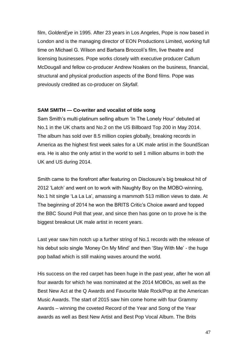film, *GoldenEye* in 1995. After 23 years in Los Angeles, Pope is now based in London and is the managing director of EON Productions Limited, working full time on Michael G. Wilson and Barbara Broccoli's film, live theatre and licensing businesses. Pope works closely with executive producer Callum McDougall and fellow co-producer Andrew Noakes on the business, financial, structural and physical production aspects of the Bond films. Pope was previously credited as co-producer on *Skyfall*.

#### **SAM SMITH — Co-writer and vocalist of title song**

Sam Smith's multi-platinum selling album 'In The Lonely Hour' debuted at No.1 in the UK charts and No.2 on the US Billboard Top 200 in May 2014. The album has sold over 8.5 million copies globally, breaking records in America as the highest first week sales for a UK male artist in the SoundScan era. He is also the only artist in the world to sell 1 million albums in both the UK and US during 2014.

Smith came to the forefront after featuring on Disclosure's big breakout hit of 2012 'Latch' and went on to work with Naughty Boy on the MOBO-winning, No.1 hit single 'La La La', amassing a mammoth 513 million views to date. At The beginning of 2014 he won the BRITS Critic's Choice award and topped the BBC Sound Poll that year, and since then has gone on to prove he is the biggest breakout UK male artist in recent years.

Last year saw him notch up a further string of No.1 records with the release of his debut solo single 'Money On My Mind' and then 'Stay With Me' - the huge pop ballad which is still making waves around the world.

His success on the red carpet has been huge in the past year, after he won all four awards for which he was nominated at the 2014 MOBOs, as well as the Best New Act at the Q Awards and Favourite Male Rock/Pop at the American Music Awards. The start of 2015 saw him come home with four Grammy Awards – winning the coveted Record of the Year and Song of the Year awards as well as Best New Artist and Best Pop Vocal Album. The Brits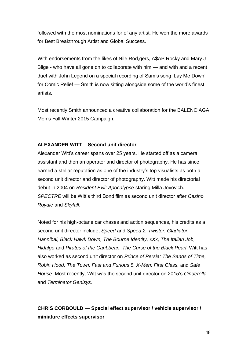followed with the most nominations for of any artist. He won the more awards for Best Breakthrough Artist and Global Success.

With endorsements from the likes of Nile Rod,gers, A\$AP Rocky and Mary J Blige - who have all gone on to collaborate with him — and with and a recent duet with John Legend on a special recording of Sam's song 'Lay Me Down' for Comic Relief — Smith is now sitting alongside some of the world's finest artists.

Most recently Smith announced a creative collaboration for the BALENCIAGA Men's Fall-Winter 2015 Campaign.

# **ALEXANDER WITT – Second unit director**

Alexander Witt's career spans over 25 years. He started off as a camera assistant and then an operator and director of photography. He has since earned a stellar reputation as one of the industry's top visualists as both a second unit director and director of photography. Witt made his directorial debut in 2004 on *Resident Evil: Apocalypse* staring Milla Jovovich. *SPECTRE* will be Witt's third Bond film as second unit director after *Casino Royale* and *Skyfall*.

Noted for his high-octane car chases and action sequences, his credits as a second unit director include; *Speed* and *Speed 2, Twister, Gladiator, Hannibal, Black Hawk Down, The Bourne Identity, xXx, The Italian Job, Hidalgo* and *Pirates of the Caribbean: The Curse of the Black Pearl*. Witt has also worked as second unit director on *Prince of Persia: The Sands of Time, Robin Hood, The Town, Fast and Furious 5, X-Men: First Class,* and *Safe House*. Most recently, Witt was the second unit director on 2015's *Cinderella*  and *Terminator Genisys*.

# **CHRIS CORBOULD — Special effect supervisor / vehicle supervisor / miniature effects supervisor**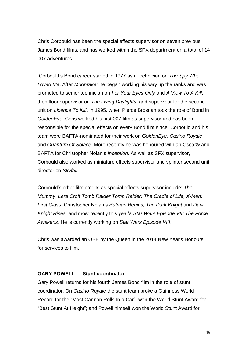Chris Corbould has been the special effects supervisor on seven previous James Bond films, and has worked within the SFX department on a total of 14 007 adventures.

Corbould's Bond career started in 1977 as a technician on *The Spy Who Loved Me*. After *Moonraker* he began working his way up the ranks and was promoted to senior technician on *For Your Eyes Only* and *A View To A Kill*, then floor supervisor on *The Living Daylights*, and supervisor for the second unit on *Licence To Kill*. In 1995, when Pierce Brosnan took the role of Bond in *GoldenEye*, Chris worked his first 007 film as supervisor and has been responsible for the special effects on every Bond film since. Corbould and his team were BAFTA-nominated for their work on *GoldenEye*, *Casino Royale*  and *Quantum Of Solace*. More recently he was honoured with an Oscar® and BAFTA for Christopher Nolan's *Inception*. As well as SFX supervisor, Corbould also worked as miniature effects supervisor and splinter second unit director on *Skyfall*.

Corbould's other film credits as special effects supervisor include; *The Mummy*, *Lara Croft Tomb Raider,Tomb Raider: The Cradle of Life, X-Men: First Class*, Christopher Nolan's *Batman Begins, The Dark Knight* and *Dark Knight Rises,* and most recently this year's *Star Wars Episode VII: The Force Awakens.* He is currently working on *Star Wars Episode VIII*.

Chris was awarded an OBE by the Queen in the 2014 New Year's Honours for services to film.

#### **GARY POWELL — Stunt coordinator**

Gary Powell returns for his fourth James Bond film in the role of stunt coordinator. On *Casino Royale* the stunt team broke a Guinness World Record for the "Most Cannon Rolls In a Car"; won the World Stunt Award for "Best Stunt At Height"; and Powell himself won the World Stunt Award for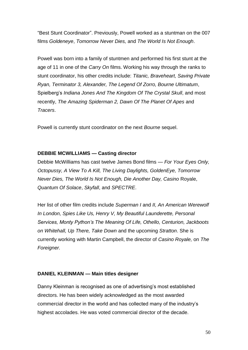"Best Stunt Coordinator". Previously, Powell worked as a stuntman on the 007 films *Goldeneye*, *Tomorrow Never Dies,* and *The World Is Not Enough*.

Powell was born into a family of stuntmen and performed his first stunt at the age of 11 in one of the *Carry On* films. Working his way through the ranks to stunt coordinator, his other credits include: *Titanic, Braveheart, Saving Private Ryan, Terminator 3, Alexander, The Legend Of Zorro, Bourne Ultimatum*, Spielberg's *Indiana Jones And The Kingdom Of The Crystal Skull*, and most recently, *The Amazing Spiderman 2, Dawn Of The Planet Of Apes* and *Tracers*.

Powell is currently stunt coordinator on the next *Bourne* sequel.

# **DEBBIE MCWILLIAMS — Casting director**

Debbie McWilliams has cast twelve James Bond films — *For Your Eyes Only, Octopussy, A View To A Kill, The Living Daylights, GoldenEye, Tomorrow Never Dies, The World Is Not Enough, Die Another Day, Casino* Royale, *Quantum Of Solace*, *Skyfall*, and *SPECTRE*.

Her list of other film credits include *Superman I* and *II, An American Werewolf In London, Spies Like Us, Henry V, My Beautiful Launderette, Personal Services, Monty Python's The Meaning Of Life, Othello, Centurion, Jackboots on Whitehall, Up There, Take Down* and the upcoming *Stratton*. She is currently working with Martin Campbell, the director of *Casino Royale,* on *The Foreigner.*

# **DANIEL KLEINMAN — Main titles designer**

Danny Kleinman is recognised as one of advertising's most established directors. He has been widely acknowledged as the most awarded commercial director in the world and has collected many of the industry's highest accolades. He was voted commercial director of the decade.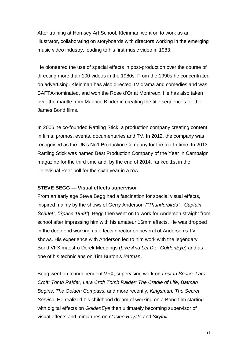After training at Hornsey Art School, Kleinman went on to work as an illustrator, collaborating on storyboards with directors working in the emerging music video industry, leading to his first music video in 1983.

He pioneered the use of special effects in post-production over the course of directing more than 100 videos in the 1980s. From the 1990s he concentrated on advertising. Kleinman has also directed TV drama and comedies and was BAFTA-nominated, and won the Rose d'Or at Montreux. He has also taken over the mantle from Maurice Binder in creating the title sequences for the James Bond films.

In 2006 he co-founded Rattling Stick, a production company creating content in films, promos, events, documentaries and TV. In 2012, the company was recognised as the UK's No1 Production Company for the fourth time. In 2013 Rattling Stick was named Best Production Company of the Year in Campaign magazine for the third time and, by the end of 2014, ranked 1st in the Televisual Peer poll for the sixth year in a row.

#### **STEVE BEGG — Visual effects supervisor**

From an early age Steve Begg had a fascination for special visual effects, inspired mainly by the shows of Gerry Anderson *("Thunderbirds", "Captain Scarlet", "Space 1999"*). Begg then went on to work for Anderson straight from school after impressing him with his amateur 16mm effects. He was dropped in the deep end working as effects director on several of Anderson's TV shows. His experience with Anderson led to him work with the legendary Bond VFX maestro Derek Meddings (*Live And Let Die, GoldenEye*) and as one of his technicians on Tim Burton's *Batman*.

Begg went on to independent VFX, supervising work on *Lost In Space, Lara Croft: Tomb Raider*, *Lara Croft Tomb Raider: The Cradle of Life, Batman Begins*, *The Golden Compass,* and more recently, *Kingsman: The Secret Service*. He realized his childhood dream of working on a Bond film starting with digital effects on *GoldenEye* then ultimately becoming supervisor of visual effects and miniatures on *Casino Royale* and *Skyfall*.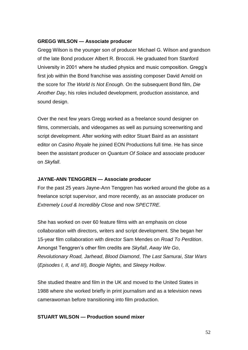# **GREGG WILSON — Associate producer**

Gregg Wilson is the younger son of producer Michael G. Wilson and grandson of the late Bond producer Albert R. Broccoli. He graduated from Stanford University in 2001 where he studied physics and music composition. Gregg's first job within the Bond franchise was assisting composer David Arnold on the score for *The World Is Not Enough*. On the subsequent Bond film, *Die Another Day*, his roles included development, production assistance, and sound design.

Over the next few years Gregg worked as a freelance sound designer on films, commercials, and videogames as well as pursuing screenwriting and script development. After working with editor Stuart Baird as an assistant editor on *Casino Royale* he joined EON Productions full time. He has since been the assistant producer on *Quantum Of Solace* and associate producer on *Skyfall*.

# **JAYNE-ANN TENGGREN — Associate producer**

For the past 25 years Jayne-Ann Tenggren has worked around the globe as a freelance script supervisor, and more recently, as an associate producer on *Extremely Loud & Incredibly Close* and now *SPECTRE.*

She has worked on over 60 feature films with an emphasis on close collaboration with directors, writers and script development. She began her 15-year film collaboration with director Sam Mendes on *Road To Perdition*. Amongst Tenggren's other film credits are *Skyfall*, *Away We Go*, *Revolutionary Road, Jarhead*, *Blood Diamond*, *The Last Samurai*, *Star Wars* (*Episodes I, II, and III), Boogie Nights,* and *Sleepy Hollow*.

She studied theatre and film in the UK and moved to the United States in 1988 where she worked briefly in print journalism and as a television news camerawoman before transitioning into film production.

# **STUART WILSON — Production sound mixer**